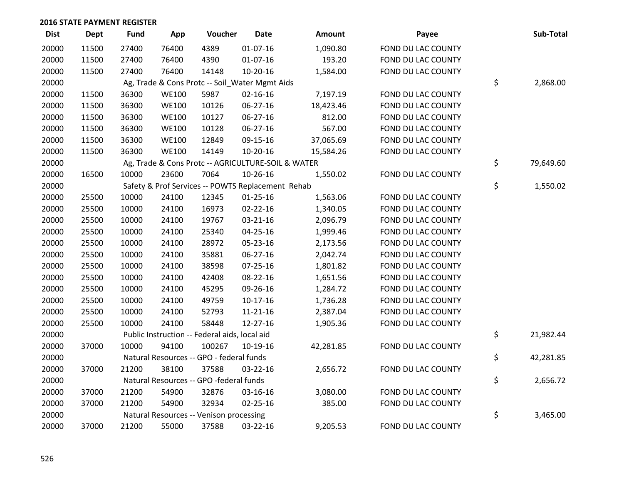| <b>Dist</b> | <b>Dept</b> | <b>Fund</b> | App          | Voucher                                            | <b>Date</b>    | <b>Amount</b> | Payee              | Sub-Total       |
|-------------|-------------|-------------|--------------|----------------------------------------------------|----------------|---------------|--------------------|-----------------|
| 20000       | 11500       | 27400       | 76400        | 4389                                               | $01-07-16$     | 1,090.80      | FOND DU LAC COUNTY |                 |
| 20000       | 11500       | 27400       | 76400        | 4390                                               | $01-07-16$     | 193.20        | FOND DU LAC COUNTY |                 |
| 20000       | 11500       | 27400       | 76400        | 14148                                              | $10-20-16$     | 1,584.00      | FOND DU LAC COUNTY |                 |
| 20000       |             |             |              | Ag, Trade & Cons Protc -- Soil_Water Mgmt Aids     |                |               |                    | \$<br>2,868.00  |
| 20000       | 11500       | 36300       | <b>WE100</b> | 5987                                               | $02 - 16 - 16$ | 7,197.19      | FOND DU LAC COUNTY |                 |
| 20000       | 11500       | 36300       | <b>WE100</b> | 10126                                              | 06-27-16       | 18,423.46     | FOND DU LAC COUNTY |                 |
| 20000       | 11500       | 36300       | <b>WE100</b> | 10127                                              | 06-27-16       | 812.00        | FOND DU LAC COUNTY |                 |
| 20000       | 11500       | 36300       | <b>WE100</b> | 10128                                              | 06-27-16       | 567.00        | FOND DU LAC COUNTY |                 |
| 20000       | 11500       | 36300       | <b>WE100</b> | 12849                                              | 09-15-16       | 37,065.69     | FOND DU LAC COUNTY |                 |
| 20000       | 11500       | 36300       | <b>WE100</b> | 14149                                              | 10-20-16       | 15,584.26     | FOND DU LAC COUNTY |                 |
| 20000       |             |             |              | Ag, Trade & Cons Protc -- AGRICULTURE-SOIL & WATER |                |               |                    | \$<br>79,649.60 |
| 20000       | 16500       | 10000       | 23600        | 7064                                               | 10-26-16       | 1,550.02      | FOND DU LAC COUNTY |                 |
| 20000       |             |             |              | Safety & Prof Services -- POWTS Replacement Rehab  |                |               |                    | \$<br>1,550.02  |
| 20000       | 25500       | 10000       | 24100        | 12345                                              | $01 - 25 - 16$ | 1,563.06      | FOND DU LAC COUNTY |                 |
| 20000       | 25500       | 10000       | 24100        | 16973                                              | $02 - 22 - 16$ | 1,340.05      | FOND DU LAC COUNTY |                 |
| 20000       | 25500       | 10000       | 24100        | 19767                                              | 03-21-16       | 2,096.79      | FOND DU LAC COUNTY |                 |
| 20000       | 25500       | 10000       | 24100        | 25340                                              | 04-25-16       | 1,999.46      | FOND DU LAC COUNTY |                 |
| 20000       | 25500       | 10000       | 24100        | 28972                                              | 05-23-16       | 2,173.56      | FOND DU LAC COUNTY |                 |
| 20000       | 25500       | 10000       | 24100        | 35881                                              | 06-27-16       | 2,042.74      | FOND DU LAC COUNTY |                 |
| 20000       | 25500       | 10000       | 24100        | 38598                                              | 07-25-16       | 1,801.82      | FOND DU LAC COUNTY |                 |
| 20000       | 25500       | 10000       | 24100        | 42408                                              | 08-22-16       | 1,651.56      | FOND DU LAC COUNTY |                 |
| 20000       | 25500       | 10000       | 24100        | 45295                                              | 09-26-16       | 1,284.72      | FOND DU LAC COUNTY |                 |
| 20000       | 25500       | 10000       | 24100        | 49759                                              | $10-17-16$     | 1,736.28      | FOND DU LAC COUNTY |                 |
| 20000       | 25500       | 10000       | 24100        | 52793                                              | $11 - 21 - 16$ | 2,387.04      | FOND DU LAC COUNTY |                 |
| 20000       | 25500       | 10000       | 24100        | 58448                                              | 12-27-16       | 1,905.36      | FOND DU LAC COUNTY |                 |
| 20000       |             |             |              | Public Instruction -- Federal aids, local aid      |                |               |                    | \$<br>21,982.44 |
| 20000       | 37000       | 10000       | 94100        | 100267                                             | 10-19-16       | 42,281.85     | FOND DU LAC COUNTY |                 |
| 20000       |             |             |              | Natural Resources -- GPO - federal funds           |                |               |                    | \$<br>42,281.85 |
| 20000       | 37000       | 21200       | 38100        | 37588                                              | 03-22-16       | 2,656.72      | FOND DU LAC COUNTY |                 |
| 20000       |             |             |              | Natural Resources -- GPO -federal funds            |                |               |                    | \$<br>2,656.72  |
| 20000       | 37000       | 21200       | 54900        | 32876                                              | 03-16-16       | 3,080.00      | FOND DU LAC COUNTY |                 |
| 20000       | 37000       | 21200       | 54900        | 32934                                              | 02-25-16       | 385.00        | FOND DU LAC COUNTY |                 |
| 20000       |             |             |              | Natural Resources -- Venison processing            |                |               |                    | \$<br>3,465.00  |
| 20000       | 37000       | 21200       | 55000        | 37588                                              | 03-22-16       | 9,205.53      | FOND DU LAC COUNTY |                 |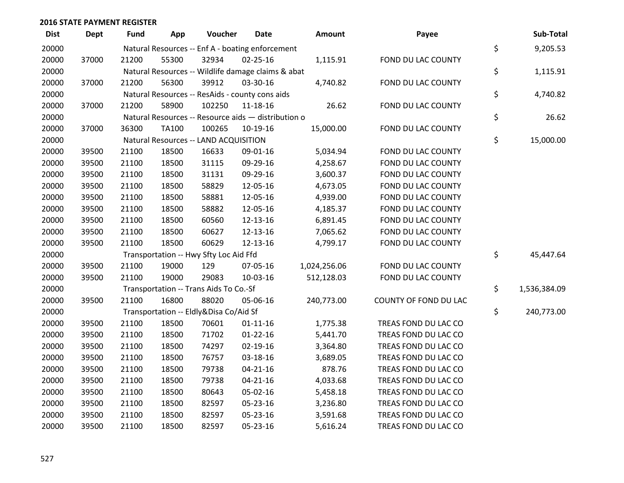| <b>Dist</b> | <b>Dept</b> | <b>Fund</b> | App          | Voucher                                             | <b>Date</b>    | Amount       | Payee                 | Sub-Total          |
|-------------|-------------|-------------|--------------|-----------------------------------------------------|----------------|--------------|-----------------------|--------------------|
| 20000       |             |             |              | Natural Resources -- Enf A - boating enforcement    |                |              |                       | \$<br>9,205.53     |
| 20000       | 37000       | 21200       | 55300        | 32934                                               | $02 - 25 - 16$ | 1,115.91     | FOND DU LAC COUNTY    |                    |
| 20000       |             |             |              | Natural Resources -- Wildlife damage claims & abat  |                |              |                       | \$<br>1,115.91     |
| 20000       | 37000       | 21200       | 56300        | 39912                                               | 03-30-16       | 4,740.82     | FOND DU LAC COUNTY    |                    |
| 20000       |             |             |              | Natural Resources -- ResAids - county cons aids     |                |              |                       | \$<br>4,740.82     |
| 20000       | 37000       | 21200       | 58900        | 102250                                              | 11-18-16       | 26.62        | FOND DU LAC COUNTY    |                    |
| 20000       |             |             |              | Natural Resources -- Resource aids - distribution o |                |              |                       | \$<br>26.62        |
| 20000       | 37000       | 36300       | <b>TA100</b> | 100265                                              | 10-19-16       | 15,000.00    | FOND DU LAC COUNTY    |                    |
| 20000       |             |             |              | Natural Resources -- LAND ACQUISITION               |                |              |                       | \$<br>15,000.00    |
| 20000       | 39500       | 21100       | 18500        | 16633                                               | 09-01-16       | 5,034.94     | FOND DU LAC COUNTY    |                    |
| 20000       | 39500       | 21100       | 18500        | 31115                                               | 09-29-16       | 4,258.67     | FOND DU LAC COUNTY    |                    |
| 20000       | 39500       | 21100       | 18500        | 31131                                               | 09-29-16       | 3,600.37     | FOND DU LAC COUNTY    |                    |
| 20000       | 39500       | 21100       | 18500        | 58829                                               | 12-05-16       | 4,673.05     | FOND DU LAC COUNTY    |                    |
| 20000       | 39500       | 21100       | 18500        | 58881                                               | 12-05-16       | 4,939.00     | FOND DU LAC COUNTY    |                    |
| 20000       | 39500       | 21100       | 18500        | 58882                                               | 12-05-16       | 4,185.37     | FOND DU LAC COUNTY    |                    |
| 20000       | 39500       | 21100       | 18500        | 60560                                               | 12-13-16       | 6,891.45     | FOND DU LAC COUNTY    |                    |
| 20000       | 39500       | 21100       | 18500        | 60627                                               | 12-13-16       | 7,065.62     | FOND DU LAC COUNTY    |                    |
| 20000       | 39500       | 21100       | 18500        | 60629                                               | 12-13-16       | 4,799.17     | FOND DU LAC COUNTY    |                    |
| 20000       |             |             |              | Transportation -- Hwy Sfty Loc Aid Ffd              |                |              |                       | \$<br>45,447.64    |
| 20000       | 39500       | 21100       | 19000        | 129                                                 | 07-05-16       | 1,024,256.06 | FOND DU LAC COUNTY    |                    |
| 20000       | 39500       | 21100       | 19000        | 29083                                               | 10-03-16       | 512,128.03   | FOND DU LAC COUNTY    |                    |
| 20000       |             |             |              | Transportation -- Trans Aids To Co.-Sf              |                |              |                       | \$<br>1,536,384.09 |
| 20000       | 39500       | 21100       | 16800        | 88020                                               | 05-06-16       | 240,773.00   | COUNTY OF FOND DU LAC |                    |
| 20000       |             |             |              | Transportation -- Eldly&Disa Co/Aid Sf              |                |              |                       | \$<br>240,773.00   |
| 20000       | 39500       | 21100       | 18500        | 70601                                               | $01 - 11 - 16$ | 1,775.38     | TREAS FOND DU LAC CO  |                    |
| 20000       | 39500       | 21100       | 18500        | 71702                                               | $01 - 22 - 16$ | 5,441.70     | TREAS FOND DU LAC CO  |                    |
| 20000       | 39500       | 21100       | 18500        | 74297                                               | 02-19-16       | 3,364.80     | TREAS FOND DU LAC CO  |                    |
| 20000       | 39500       | 21100       | 18500        | 76757                                               | 03-18-16       | 3,689.05     | TREAS FOND DU LAC CO  |                    |
| 20000       | 39500       | 21100       | 18500        | 79738                                               | $04 - 21 - 16$ | 878.76       | TREAS FOND DU LAC CO  |                    |
| 20000       | 39500       | 21100       | 18500        | 79738                                               | $04 - 21 - 16$ | 4,033.68     | TREAS FOND DU LAC CO  |                    |
| 20000       | 39500       | 21100       | 18500        | 80643                                               | 05-02-16       | 5,458.18     | TREAS FOND DU LAC CO  |                    |
| 20000       | 39500       | 21100       | 18500        | 82597                                               | 05-23-16       | 3,236.80     | TREAS FOND DU LAC CO  |                    |
| 20000       | 39500       | 21100       | 18500        | 82597                                               | 05-23-16       | 3,591.68     | TREAS FOND DU LAC CO  |                    |
| 20000       | 39500       | 21100       | 18500        | 82597                                               | 05-23-16       | 5,616.24     | TREAS FOND DU LAC CO  |                    |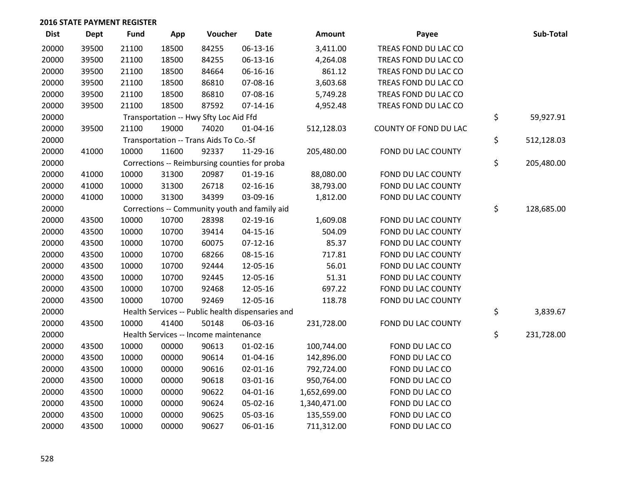| <b>Dist</b> | Dept  | <b>Fund</b> | App   | Voucher                                           | <b>Date</b>    | Amount       | Payee                 | Sub-Total        |
|-------------|-------|-------------|-------|---------------------------------------------------|----------------|--------------|-----------------------|------------------|
| 20000       | 39500 | 21100       | 18500 | 84255                                             | 06-13-16       | 3,411.00     | TREAS FOND DU LAC CO  |                  |
| 20000       | 39500 | 21100       | 18500 | 84255                                             | 06-13-16       | 4,264.08     | TREAS FOND DU LAC CO  |                  |
| 20000       | 39500 | 21100       | 18500 | 84664                                             | 06-16-16       | 861.12       | TREAS FOND DU LAC CO  |                  |
| 20000       | 39500 | 21100       | 18500 | 86810                                             | 07-08-16       | 3,603.68     | TREAS FOND DU LAC CO  |                  |
| 20000       | 39500 | 21100       | 18500 | 86810                                             | 07-08-16       | 5,749.28     | TREAS FOND DU LAC CO  |                  |
| 20000       | 39500 | 21100       | 18500 | 87592                                             | $07-14-16$     | 4,952.48     | TREAS FOND DU LAC CO  |                  |
| 20000       |       |             |       | Transportation -- Hwy Sfty Loc Aid Ffd            |                |              |                       | \$<br>59,927.91  |
| 20000       | 39500 | 21100       | 19000 | 74020                                             | $01 - 04 - 16$ | 512,128.03   | COUNTY OF FOND DU LAC |                  |
| 20000       |       |             |       | Transportation -- Trans Aids To Co.-Sf            |                |              |                       | \$<br>512,128.03 |
| 20000       | 41000 | 10000       | 11600 | 92337                                             | 11-29-16       | 205,480.00   | FOND DU LAC COUNTY    |                  |
| 20000       |       |             |       | Corrections -- Reimbursing counties for proba     |                |              |                       | \$<br>205,480.00 |
| 20000       | 41000 | 10000       | 31300 | 20987                                             | $01-19-16$     | 88,080.00    | FOND DU LAC COUNTY    |                  |
| 20000       | 41000 | 10000       | 31300 | 26718                                             | $02 - 16 - 16$ | 38,793.00    | FOND DU LAC COUNTY    |                  |
| 20000       | 41000 | 10000       | 31300 | 34399                                             | 03-09-16       | 1,812.00     | FOND DU LAC COUNTY    |                  |
| 20000       |       |             |       | Corrections -- Community youth and family aid     |                |              |                       | \$<br>128,685.00 |
| 20000       | 43500 | 10000       | 10700 | 28398                                             | 02-19-16       | 1,609.08     | FOND DU LAC COUNTY    |                  |
| 20000       | 43500 | 10000       | 10700 | 39414                                             | $04 - 15 - 16$ | 504.09       | FOND DU LAC COUNTY    |                  |
| 20000       | 43500 | 10000       | 10700 | 60075                                             | $07-12-16$     | 85.37        | FOND DU LAC COUNTY    |                  |
| 20000       | 43500 | 10000       | 10700 | 68266                                             | $08 - 15 - 16$ | 717.81       | FOND DU LAC COUNTY    |                  |
| 20000       | 43500 | 10000       | 10700 | 92444                                             | 12-05-16       | 56.01        | FOND DU LAC COUNTY    |                  |
| 20000       | 43500 | 10000       | 10700 | 92445                                             | 12-05-16       | 51.31        | FOND DU LAC COUNTY    |                  |
| 20000       | 43500 | 10000       | 10700 | 92468                                             | 12-05-16       | 697.22       | FOND DU LAC COUNTY    |                  |
| 20000       | 43500 | 10000       | 10700 | 92469                                             | 12-05-16       | 118.78       | FOND DU LAC COUNTY    |                  |
| 20000       |       |             |       | Health Services -- Public health dispensaries and |                |              |                       | \$<br>3,839.67   |
| 20000       | 43500 | 10000       | 41400 | 50148                                             | 06-03-16       | 231,728.00   | FOND DU LAC COUNTY    |                  |
| 20000       |       |             |       | Health Services -- Income maintenance             |                |              |                       | \$<br>231,728.00 |
| 20000       | 43500 | 10000       | 00000 | 90613                                             | $01-02-16$     | 100,744.00   | FOND DU LAC CO        |                  |
| 20000       | 43500 | 10000       | 00000 | 90614                                             | $01 - 04 - 16$ | 142,896.00   | FOND DU LAC CO        |                  |
| 20000       | 43500 | 10000       | 00000 | 90616                                             | $02 - 01 - 16$ | 792,724.00   | FOND DU LAC CO        |                  |
| 20000       | 43500 | 10000       | 00000 | 90618                                             | 03-01-16       | 950,764.00   | FOND DU LAC CO        |                  |
| 20000       | 43500 | 10000       | 00000 | 90622                                             | 04-01-16       | 1,652,699.00 | FOND DU LAC CO        |                  |
| 20000       | 43500 | 10000       | 00000 | 90624                                             | 05-02-16       | 1,340,471.00 | FOND DU LAC CO        |                  |
| 20000       | 43500 | 10000       | 00000 | 90625                                             | 05-03-16       | 135,559.00   | FOND DU LAC CO        |                  |
| 20000       | 43500 | 10000       | 00000 | 90627                                             | 06-01-16       | 711,312.00   | FOND DU LAC CO        |                  |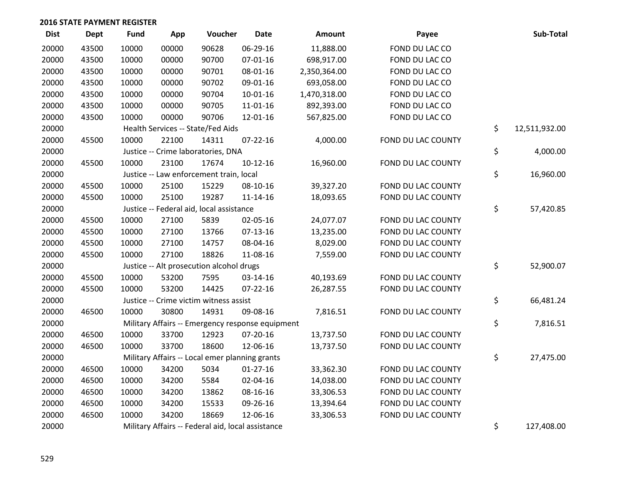| <b>Dist</b> | <b>Dept</b> | Fund  | App   | Voucher                                           | <b>Date</b>    | <b>Amount</b> | Payee              | Sub-Total           |
|-------------|-------------|-------|-------|---------------------------------------------------|----------------|---------------|--------------------|---------------------|
| 20000       | 43500       | 10000 | 00000 | 90628                                             | 06-29-16       | 11,888.00     | FOND DU LAC CO     |                     |
| 20000       | 43500       | 10000 | 00000 | 90700                                             | 07-01-16       | 698,917.00    | FOND DU LAC CO     |                     |
| 20000       | 43500       | 10000 | 00000 | 90701                                             | 08-01-16       | 2,350,364.00  | FOND DU LAC CO     |                     |
| 20000       | 43500       | 10000 | 00000 | 90702                                             | 09-01-16       | 693,058.00    | FOND DU LAC CO     |                     |
| 20000       | 43500       | 10000 | 00000 | 90704                                             | $10 - 01 - 16$ | 1,470,318.00  | FOND DU LAC CO     |                     |
| 20000       | 43500       | 10000 | 00000 | 90705                                             | 11-01-16       | 892,393.00    | FOND DU LAC CO     |                     |
| 20000       | 43500       | 10000 | 00000 | 90706                                             | 12-01-16       | 567,825.00    | FOND DU LAC CO     |                     |
| 20000       |             |       |       | Health Services -- State/Fed Aids                 |                |               |                    | \$<br>12,511,932.00 |
| 20000       | 45500       | 10000 | 22100 | 14311                                             | $07 - 22 - 16$ | 4,000.00      | FOND DU LAC COUNTY |                     |
| 20000       |             |       |       | Justice -- Crime laboratories, DNA                |                |               |                    | \$<br>4,000.00      |
| 20000       | 45500       | 10000 | 23100 | 17674                                             | $10-12-16$     | 16,960.00     | FOND DU LAC COUNTY |                     |
| 20000       |             |       |       | Justice -- Law enforcement train, local           |                |               |                    | \$<br>16,960.00     |
| 20000       | 45500       | 10000 | 25100 | 15229                                             | 08-10-16       | 39,327.20     | FOND DU LAC COUNTY |                     |
| 20000       | 45500       | 10000 | 25100 | 19287                                             | $11 - 14 - 16$ | 18,093.65     | FOND DU LAC COUNTY |                     |
| 20000       |             |       |       | Justice -- Federal aid, local assistance          |                |               |                    | \$<br>57,420.85     |
| 20000       | 45500       | 10000 | 27100 | 5839                                              | 02-05-16       | 24,077.07     | FOND DU LAC COUNTY |                     |
| 20000       | 45500       | 10000 | 27100 | 13766                                             | $07-13-16$     | 13,235.00     | FOND DU LAC COUNTY |                     |
| 20000       | 45500       | 10000 | 27100 | 14757                                             | 08-04-16       | 8,029.00      | FOND DU LAC COUNTY |                     |
| 20000       | 45500       | 10000 | 27100 | 18826                                             | 11-08-16       | 7,559.00      | FOND DU LAC COUNTY |                     |
| 20000       |             |       |       | Justice -- Alt prosecution alcohol drugs          |                |               |                    | \$<br>52,900.07     |
| 20000       | 45500       | 10000 | 53200 | 7595                                              | 03-14-16       | 40,193.69     | FOND DU LAC COUNTY |                     |
| 20000       | 45500       | 10000 | 53200 | 14425                                             | 07-22-16       | 26,287.55     | FOND DU LAC COUNTY |                     |
| 20000       |             |       |       | Justice -- Crime victim witness assist            |                |               |                    | \$<br>66,481.24     |
| 20000       | 46500       | 10000 | 30800 | 14931                                             | 09-08-16       | 7,816.51      | FOND DU LAC COUNTY |                     |
| 20000       |             |       |       | Military Affairs -- Emergency response equipment  |                |               |                    | \$<br>7,816.51      |
| 20000       | 46500       | 10000 | 33700 | 12923                                             | 07-20-16       | 13,737.50     | FOND DU LAC COUNTY |                     |
| 20000       | 46500       | 10000 | 33700 | 18600                                             | 12-06-16       | 13,737.50     | FOND DU LAC COUNTY |                     |
| 20000       |             |       |       | Military Affairs -- Local emer planning grants    |                |               |                    | \$<br>27,475.00     |
| 20000       | 46500       | 10000 | 34200 | 5034                                              | $01-27-16$     | 33,362.30     | FOND DU LAC COUNTY |                     |
| 20000       | 46500       | 10000 | 34200 | 5584                                              | 02-04-16       | 14,038.00     | FOND DU LAC COUNTY |                     |
| 20000       | 46500       | 10000 | 34200 | 13862                                             | 08-16-16       | 33,306.53     | FOND DU LAC COUNTY |                     |
| 20000       | 46500       | 10000 | 34200 | 15533                                             | 09-26-16       | 13,394.64     | FOND DU LAC COUNTY |                     |
| 20000       | 46500       | 10000 | 34200 | 18669                                             | 12-06-16       | 33,306.53     | FOND DU LAC COUNTY |                     |
| 20000       |             |       |       | Military Affairs -- Federal aid, local assistance |                |               |                    | \$<br>127,408.00    |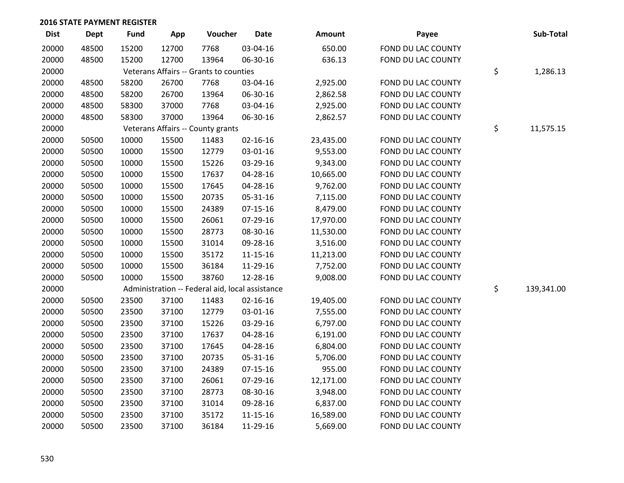| <b>Dist</b> | Dept  | <b>Fund</b> | App   | Voucher                                         | <b>Date</b>    | <b>Amount</b> | Payee              | Sub-Total        |
|-------------|-------|-------------|-------|-------------------------------------------------|----------------|---------------|--------------------|------------------|
| 20000       | 48500 | 15200       | 12700 | 7768                                            | 03-04-16       | 650.00        | FOND DU LAC COUNTY |                  |
| 20000       | 48500 | 15200       | 12700 | 13964                                           | 06-30-16       | 636.13        | FOND DU LAC COUNTY |                  |
| 20000       |       |             |       | Veterans Affairs -- Grants to counties          |                |               |                    | \$<br>1,286.13   |
| 20000       | 48500 | 58200       | 26700 | 7768                                            | 03-04-16       | 2,925.00      | FOND DU LAC COUNTY |                  |
| 20000       | 48500 | 58200       | 26700 | 13964                                           | 06-30-16       | 2,862.58      | FOND DU LAC COUNTY |                  |
| 20000       | 48500 | 58300       | 37000 | 7768                                            | 03-04-16       | 2,925.00      | FOND DU LAC COUNTY |                  |
| 20000       | 48500 | 58300       | 37000 | 13964                                           | 06-30-16       | 2,862.57      | FOND DU LAC COUNTY |                  |
| 20000       |       |             |       | Veterans Affairs -- County grants               |                |               |                    | \$<br>11,575.15  |
| 20000       | 50500 | 10000       | 15500 | 11483                                           | $02 - 16 - 16$ | 23,435.00     | FOND DU LAC COUNTY |                  |
| 20000       | 50500 | 10000       | 15500 | 12779                                           | 03-01-16       | 9,553.00      | FOND DU LAC COUNTY |                  |
| 20000       | 50500 | 10000       | 15500 | 15226                                           | 03-29-16       | 9,343.00      | FOND DU LAC COUNTY |                  |
| 20000       | 50500 | 10000       | 15500 | 17637                                           | 04-28-16       | 10,665.00     | FOND DU LAC COUNTY |                  |
| 20000       | 50500 | 10000       | 15500 | 17645                                           | 04-28-16       | 9,762.00      | FOND DU LAC COUNTY |                  |
| 20000       | 50500 | 10000       | 15500 | 20735                                           | 05-31-16       | 7,115.00      | FOND DU LAC COUNTY |                  |
| 20000       | 50500 | 10000       | 15500 | 24389                                           | $07-15-16$     | 8,479.00      | FOND DU LAC COUNTY |                  |
| 20000       | 50500 | 10000       | 15500 | 26061                                           | 07-29-16       | 17,970.00     | FOND DU LAC COUNTY |                  |
| 20000       | 50500 | 10000       | 15500 | 28773                                           | 08-30-16       | 11,530.00     | FOND DU LAC COUNTY |                  |
| 20000       | 50500 | 10000       | 15500 | 31014                                           | 09-28-16       | 3,516.00      | FOND DU LAC COUNTY |                  |
| 20000       | 50500 | 10000       | 15500 | 35172                                           | $11 - 15 - 16$ | 11,213.00     | FOND DU LAC COUNTY |                  |
| 20000       | 50500 | 10000       | 15500 | 36184                                           | 11-29-16       | 7,752.00      | FOND DU LAC COUNTY |                  |
| 20000       | 50500 | 10000       | 15500 | 38760                                           | 12-28-16       | 9,008.00      | FOND DU LAC COUNTY |                  |
| 20000       |       |             |       | Administration -- Federal aid, local assistance |                |               |                    | \$<br>139,341.00 |
| 20000       | 50500 | 23500       | 37100 | 11483                                           | $02 - 16 - 16$ | 19,405.00     | FOND DU LAC COUNTY |                  |
| 20000       | 50500 | 23500       | 37100 | 12779                                           | 03-01-16       | 7,555.00      | FOND DU LAC COUNTY |                  |
| 20000       | 50500 | 23500       | 37100 | 15226                                           | 03-29-16       | 6,797.00      | FOND DU LAC COUNTY |                  |
| 20000       | 50500 | 23500       | 37100 | 17637                                           | 04-28-16       | 6,191.00      | FOND DU LAC COUNTY |                  |
| 20000       | 50500 | 23500       | 37100 | 17645                                           | 04-28-16       | 6,804.00      | FOND DU LAC COUNTY |                  |
| 20000       | 50500 | 23500       | 37100 | 20735                                           | 05-31-16       | 5,706.00      | FOND DU LAC COUNTY |                  |
| 20000       | 50500 | 23500       | 37100 | 24389                                           | $07 - 15 - 16$ | 955.00        | FOND DU LAC COUNTY |                  |
| 20000       | 50500 | 23500       | 37100 | 26061                                           | 07-29-16       | 12,171.00     | FOND DU LAC COUNTY |                  |
| 20000       | 50500 | 23500       | 37100 | 28773                                           | 08-30-16       | 3,948.00      | FOND DU LAC COUNTY |                  |
| 20000       | 50500 | 23500       | 37100 | 31014                                           | 09-28-16       | 6,837.00      | FOND DU LAC COUNTY |                  |
| 20000       | 50500 | 23500       | 37100 | 35172                                           | $11 - 15 - 16$ | 16,589.00     | FOND DU LAC COUNTY |                  |
| 20000       | 50500 | 23500       | 37100 | 36184                                           | 11-29-16       | 5,669.00      | FOND DU LAC COUNTY |                  |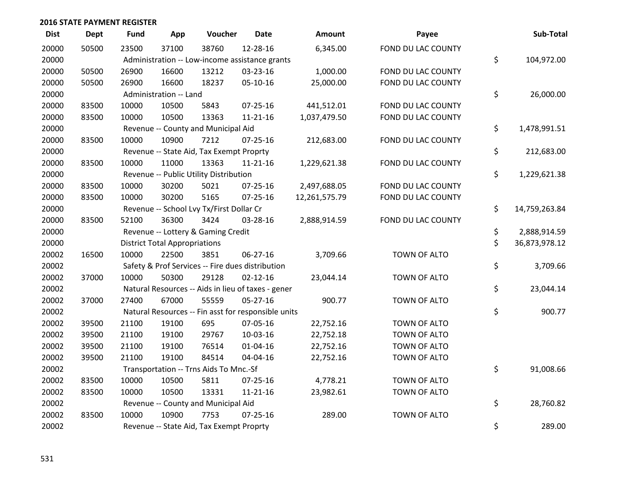| <b>Dist</b> | <b>Dept</b> | Fund  | App                                  | Voucher                                             | <b>Date</b>    | <b>Amount</b> | Payee              | Sub-Total           |
|-------------|-------------|-------|--------------------------------------|-----------------------------------------------------|----------------|---------------|--------------------|---------------------|
| 20000       | 50500       | 23500 | 37100                                | 38760                                               | 12-28-16       | 6,345.00      | FOND DU LAC COUNTY |                     |
| 20000       |             |       |                                      | Administration -- Low-income assistance grants      |                |               |                    | \$<br>104,972.00    |
| 20000       | 50500       | 26900 | 16600                                | 13212                                               | 03-23-16       | 1,000.00      | FOND DU LAC COUNTY |                     |
| 20000       | 50500       | 26900 | 16600                                | 18237                                               | 05-10-16       | 25,000.00     | FOND DU LAC COUNTY |                     |
| 20000       |             |       | Administration -- Land               |                                                     |                |               |                    | \$<br>26,000.00     |
| 20000       | 83500       | 10000 | 10500                                | 5843                                                | $07 - 25 - 16$ | 441,512.01    | FOND DU LAC COUNTY |                     |
| 20000       | 83500       | 10000 | 10500                                | 13363                                               | $11 - 21 - 16$ | 1,037,479.50  | FOND DU LAC COUNTY |                     |
| 20000       |             |       |                                      | Revenue -- County and Municipal Aid                 |                |               |                    | \$<br>1,478,991.51  |
| 20000       | 83500       | 10000 | 10900                                | 7212                                                | 07-25-16       | 212,683.00    | FOND DU LAC COUNTY |                     |
| 20000       |             |       |                                      | Revenue -- State Aid, Tax Exempt Proprty            |                |               |                    | \$<br>212,683.00    |
| 20000       | 83500       | 10000 | 11000                                | 13363                                               | $11 - 21 - 16$ | 1,229,621.38  | FOND DU LAC COUNTY |                     |
| 20000       |             |       |                                      | Revenue -- Public Utility Distribution              |                |               |                    | \$<br>1,229,621.38  |
| 20000       | 83500       | 10000 | 30200                                | 5021                                                | 07-25-16       | 2,497,688.05  | FOND DU LAC COUNTY |                     |
| 20000       | 83500       | 10000 | 30200                                | 5165                                                | $07 - 25 - 16$ | 12,261,575.79 | FOND DU LAC COUNTY |                     |
| 20000       |             |       |                                      | Revenue -- School Lvy Tx/First Dollar Cr            |                |               |                    | \$<br>14,759,263.84 |
| 20000       | 83500       | 52100 | 36300                                | 3424                                                | 03-28-16       | 2,888,914.59  | FOND DU LAC COUNTY |                     |
| 20000       |             |       |                                      | Revenue -- Lottery & Gaming Credit                  |                |               |                    | \$<br>2,888,914.59  |
| 20000       |             |       | <b>District Total Appropriations</b> |                                                     |                |               |                    | \$<br>36,873,978.12 |
| 20002       | 16500       | 10000 | 22500                                | 3851                                                | $06 - 27 - 16$ | 3,709.66      | TOWN OF ALTO       |                     |
| 20002       |             |       |                                      | Safety & Prof Services -- Fire dues distribution    |                |               |                    | \$<br>3,709.66      |
| 20002       | 37000       | 10000 | 50300                                | 29128                                               | $02 - 12 - 16$ | 23,044.14     | TOWN OF ALTO       |                     |
| 20002       |             |       |                                      | Natural Resources -- Aids in lieu of taxes - gener  |                |               |                    | \$<br>23,044.14     |
| 20002       | 37000       | 27400 | 67000                                | 55559                                               | $05 - 27 - 16$ | 900.77        | TOWN OF ALTO       |                     |
| 20002       |             |       |                                      | Natural Resources -- Fin asst for responsible units |                |               |                    | \$<br>900.77        |
| 20002       | 39500       | 21100 | 19100                                | 695                                                 | 07-05-16       | 22,752.16     | TOWN OF ALTO       |                     |
| 20002       | 39500       | 21100 | 19100                                | 29767                                               | 10-03-16       | 22,752.18     | TOWN OF ALTO       |                     |
| 20002       | 39500       | 21100 | 19100                                | 76514                                               | $01 - 04 - 16$ | 22,752.16     | TOWN OF ALTO       |                     |
| 20002       | 39500       | 21100 | 19100                                | 84514                                               | 04-04-16       | 22,752.16     | TOWN OF ALTO       |                     |
| 20002       |             |       |                                      | Transportation -- Trns Aids To Mnc.-Sf              |                |               |                    | \$<br>91,008.66     |
| 20002       | 83500       | 10000 | 10500                                | 5811                                                | $07 - 25 - 16$ | 4,778.21      | TOWN OF ALTO       |                     |
| 20002       | 83500       | 10000 | 10500                                | 13331                                               | $11 - 21 - 16$ | 23,982.61     | TOWN OF ALTO       |                     |
| 20002       |             |       |                                      | Revenue -- County and Municipal Aid                 |                |               |                    | \$<br>28,760.82     |
| 20002       | 83500       | 10000 | 10900                                | 7753                                                | $07 - 25 - 16$ | 289.00        | TOWN OF ALTO       |                     |
| 20002       |             |       |                                      | Revenue -- State Aid, Tax Exempt Proprty            |                |               |                    | \$<br>289.00        |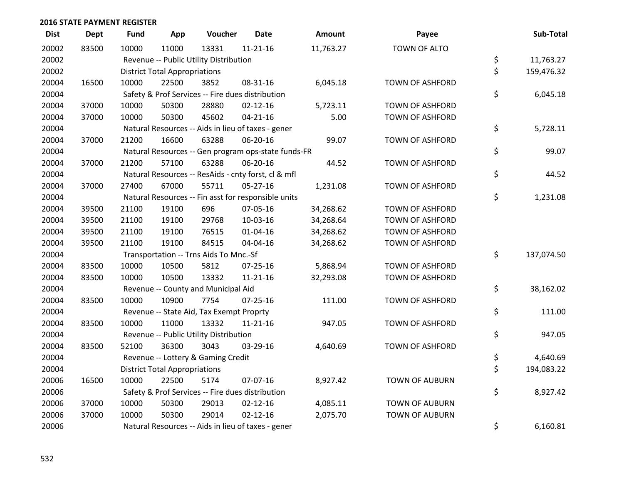| <b>Dist</b> | <b>Dept</b> | <b>Fund</b> | App                                  | Voucher                                             | <b>Date</b>    | <b>Amount</b> | Payee                  | Sub-Total        |
|-------------|-------------|-------------|--------------------------------------|-----------------------------------------------------|----------------|---------------|------------------------|------------------|
| 20002       | 83500       | 10000       | 11000                                | 13331                                               | $11 - 21 - 16$ | 11,763.27     | TOWN OF ALTO           |                  |
| 20002       |             |             |                                      | Revenue -- Public Utility Distribution              |                |               |                        | \$<br>11,763.27  |
| 20002       |             |             | <b>District Total Appropriations</b> |                                                     |                |               |                        | \$<br>159,476.32 |
| 20004       | 16500       | 10000       | 22500                                | 3852                                                | 08-31-16       | 6,045.18      | <b>TOWN OF ASHFORD</b> |                  |
| 20004       |             |             |                                      | Safety & Prof Services -- Fire dues distribution    |                |               |                        | \$<br>6,045.18   |
| 20004       | 37000       | 10000       | 50300                                | 28880                                               | $02 - 12 - 16$ | 5,723.11      | <b>TOWN OF ASHFORD</b> |                  |
| 20004       | 37000       | 10000       | 50300                                | 45602                                               | $04 - 21 - 16$ | 5.00          | <b>TOWN OF ASHFORD</b> |                  |
| 20004       |             |             |                                      | Natural Resources -- Aids in lieu of taxes - gener  |                |               |                        | \$<br>5,728.11   |
| 20004       | 37000       | 21200       | 16600                                | 63288                                               | 06-20-16       | 99.07         | <b>TOWN OF ASHFORD</b> |                  |
| 20004       |             |             |                                      | Natural Resources -- Gen program ops-state funds-FR |                |               |                        | \$<br>99.07      |
| 20004       | 37000       | 21200       | 57100                                | 63288                                               | 06-20-16       | 44.52         | <b>TOWN OF ASHFORD</b> |                  |
| 20004       |             |             |                                      | Natural Resources -- ResAids - cnty forst, cl & mfl |                |               |                        | \$<br>44.52      |
| 20004       | 37000       | 27400       | 67000                                | 55711                                               | $05 - 27 - 16$ | 1,231.08      | <b>TOWN OF ASHFORD</b> |                  |
| 20004       |             |             |                                      | Natural Resources -- Fin asst for responsible units |                |               |                        | \$<br>1,231.08   |
| 20004       | 39500       | 21100       | 19100                                | 696                                                 | 07-05-16       | 34,268.62     | <b>TOWN OF ASHFORD</b> |                  |
| 20004       | 39500       | 21100       | 19100                                | 29768                                               | 10-03-16       | 34,268.64     | <b>TOWN OF ASHFORD</b> |                  |
| 20004       | 39500       | 21100       | 19100                                | 76515                                               | $01 - 04 - 16$ | 34,268.62     | TOWN OF ASHFORD        |                  |
| 20004       | 39500       | 21100       | 19100                                | 84515                                               | 04-04-16       | 34,268.62     | <b>TOWN OF ASHFORD</b> |                  |
| 20004       |             |             |                                      | Transportation -- Trns Aids To Mnc.-Sf              |                |               |                        | \$<br>137,074.50 |
| 20004       | 83500       | 10000       | 10500                                | 5812                                                | 07-25-16       | 5,868.94      | <b>TOWN OF ASHFORD</b> |                  |
| 20004       | 83500       | 10000       | 10500                                | 13332                                               | $11 - 21 - 16$ | 32,293.08     | <b>TOWN OF ASHFORD</b> |                  |
| 20004       |             |             |                                      | Revenue -- County and Municipal Aid                 |                |               |                        | \$<br>38,162.02  |
| 20004       | 83500       | 10000       | 10900                                | 7754                                                | $07 - 25 - 16$ | 111.00        | <b>TOWN OF ASHFORD</b> |                  |
| 20004       |             |             |                                      | Revenue -- State Aid, Tax Exempt Proprty            |                |               |                        | \$<br>111.00     |
| 20004       | 83500       | 10000       | 11000                                | 13332                                               | $11 - 21 - 16$ | 947.05        | <b>TOWN OF ASHFORD</b> |                  |
| 20004       |             |             |                                      | Revenue -- Public Utility Distribution              |                |               |                        | \$<br>947.05     |
| 20004       | 83500       | 52100       | 36300                                | 3043                                                | 03-29-16       | 4,640.69      | <b>TOWN OF ASHFORD</b> |                  |
| 20004       |             |             |                                      | Revenue -- Lottery & Gaming Credit                  |                |               |                        | \$<br>4,640.69   |
| 20004       |             |             | <b>District Total Appropriations</b> |                                                     |                |               |                        | \$<br>194,083.22 |
| 20006       | 16500       | 10000       | 22500                                | 5174                                                | 07-07-16       | 8,927.42      | <b>TOWN OF AUBURN</b>  |                  |
| 20006       |             |             |                                      | Safety & Prof Services -- Fire dues distribution    |                |               |                        | \$<br>8,927.42   |
| 20006       | 37000       | 10000       | 50300                                | 29013                                               | $02 - 12 - 16$ | 4,085.11      | <b>TOWN OF AUBURN</b>  |                  |
| 20006       | 37000       | 10000       | 50300                                | 29014                                               | $02 - 12 - 16$ | 2,075.70      | <b>TOWN OF AUBURN</b>  |                  |
| 20006       |             |             |                                      | Natural Resources -- Aids in lieu of taxes - gener  |                |               |                        | \$<br>6,160.81   |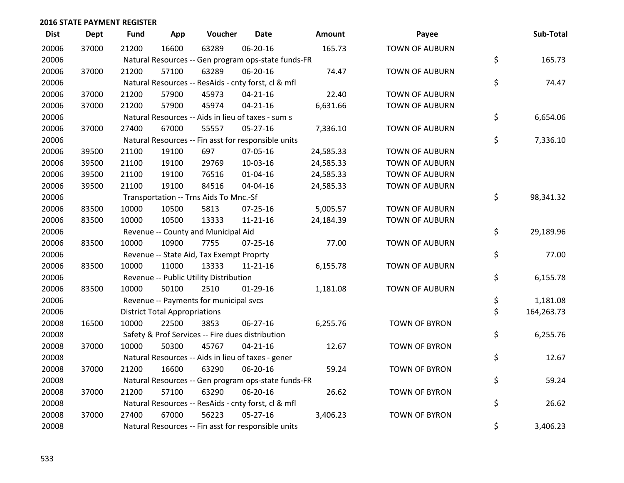| <b>Dist</b> | <b>Dept</b> | <b>Fund</b> | App                                  | Voucher                                             | <b>Date</b>    | <b>Amount</b> | Payee                 | Sub-Total        |
|-------------|-------------|-------------|--------------------------------------|-----------------------------------------------------|----------------|---------------|-----------------------|------------------|
| 20006       | 37000       | 21200       | 16600                                | 63289                                               | 06-20-16       | 165.73        | <b>TOWN OF AUBURN</b> |                  |
| 20006       |             |             |                                      | Natural Resources -- Gen program ops-state funds-FR |                |               |                       | \$<br>165.73     |
| 20006       | 37000       | 21200       | 57100                                | 63289                                               | 06-20-16       | 74.47         | <b>TOWN OF AUBURN</b> |                  |
| 20006       |             |             |                                      | Natural Resources -- ResAids - cnty forst, cl & mfl |                |               |                       | \$<br>74.47      |
| 20006       | 37000       | 21200       | 57900                                | 45973                                               | $04 - 21 - 16$ | 22.40         | <b>TOWN OF AUBURN</b> |                  |
| 20006       | 37000       | 21200       | 57900                                | 45974                                               | $04 - 21 - 16$ | 6,631.66      | <b>TOWN OF AUBURN</b> |                  |
| 20006       |             |             |                                      | Natural Resources -- Aids in lieu of taxes - sum s  |                |               |                       | \$<br>6,654.06   |
| 20006       | 37000       | 27400       | 67000                                | 55557                                               | 05-27-16       | 7,336.10      | <b>TOWN OF AUBURN</b> |                  |
| 20006       |             |             |                                      | Natural Resources -- Fin asst for responsible units |                |               |                       | \$<br>7,336.10   |
| 20006       | 39500       | 21100       | 19100                                | 697                                                 | 07-05-16       | 24,585.33     | <b>TOWN OF AUBURN</b> |                  |
| 20006       | 39500       | 21100       | 19100                                | 29769                                               | 10-03-16       | 24,585.33     | <b>TOWN OF AUBURN</b> |                  |
| 20006       | 39500       | 21100       | 19100                                | 76516                                               | $01 - 04 - 16$ | 24,585.33     | <b>TOWN OF AUBURN</b> |                  |
| 20006       | 39500       | 21100       | 19100                                | 84516                                               | 04-04-16       | 24,585.33     | <b>TOWN OF AUBURN</b> |                  |
| 20006       |             |             |                                      | Transportation -- Trns Aids To Mnc.-Sf              |                |               |                       | \$<br>98,341.32  |
| 20006       | 83500       | 10000       | 10500                                | 5813                                                | 07-25-16       | 5,005.57      | <b>TOWN OF AUBURN</b> |                  |
| 20006       | 83500       | 10000       | 10500                                | 13333                                               | $11 - 21 - 16$ | 24,184.39     | <b>TOWN OF AUBURN</b> |                  |
| 20006       |             |             |                                      | Revenue -- County and Municipal Aid                 |                |               |                       | \$<br>29,189.96  |
| 20006       | 83500       | 10000       | 10900                                | 7755                                                | 07-25-16       | 77.00         | <b>TOWN OF AUBURN</b> |                  |
| 20006       |             |             |                                      | Revenue -- State Aid, Tax Exempt Proprty            |                |               |                       | \$<br>77.00      |
| 20006       | 83500       | 10000       | 11000                                | 13333                                               | $11 - 21 - 16$ | 6,155.78      | <b>TOWN OF AUBURN</b> |                  |
| 20006       |             |             |                                      | Revenue -- Public Utility Distribution              |                |               |                       | \$<br>6,155.78   |
| 20006       | 83500       | 10000       | 50100                                | 2510                                                | $01-29-16$     | 1,181.08      | <b>TOWN OF AUBURN</b> |                  |
| 20006       |             |             |                                      | Revenue -- Payments for municipal svcs              |                |               |                       | \$<br>1,181.08   |
| 20006       |             |             | <b>District Total Appropriations</b> |                                                     |                |               |                       | \$<br>164,263.73 |
| 20008       | 16500       | 10000       | 22500                                | 3853                                                | 06-27-16       | 6,255.76      | <b>TOWN OF BYRON</b>  |                  |
| 20008       |             |             |                                      | Safety & Prof Services -- Fire dues distribution    |                |               |                       | \$<br>6,255.76   |
| 20008       | 37000       | 10000       | 50300                                | 45767                                               | $04 - 21 - 16$ | 12.67         | <b>TOWN OF BYRON</b>  |                  |
| 20008       |             |             |                                      | Natural Resources -- Aids in lieu of taxes - gener  |                |               |                       | \$<br>12.67      |
| 20008       | 37000       | 21200       | 16600                                | 63290                                               | 06-20-16       | 59.24         | <b>TOWN OF BYRON</b>  |                  |
| 20008       |             |             |                                      | Natural Resources -- Gen program ops-state funds-FR |                |               |                       | \$<br>59.24      |
| 20008       | 37000       | 21200       | 57100                                | 63290                                               | 06-20-16       | 26.62         | <b>TOWN OF BYRON</b>  |                  |
| 20008       |             |             |                                      | Natural Resources -- ResAids - cnty forst, cl & mfl |                |               |                       | \$<br>26.62      |
| 20008       | 37000       | 27400       | 67000                                | 56223                                               | 05-27-16       | 3,406.23      | <b>TOWN OF BYRON</b>  |                  |
| 20008       |             |             |                                      | Natural Resources -- Fin asst for responsible units |                |               |                       | \$<br>3,406.23   |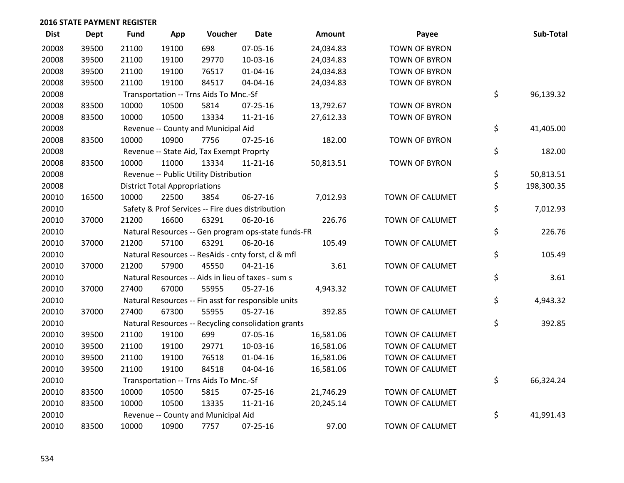| <b>Dist</b> | Dept  | <b>Fund</b> | App                                  | Voucher                                          | <b>Date</b>                                         | Amount    | Payee                | Sub-Total        |
|-------------|-------|-------------|--------------------------------------|--------------------------------------------------|-----------------------------------------------------|-----------|----------------------|------------------|
| 20008       | 39500 | 21100       | 19100                                | 698                                              | 07-05-16                                            | 24,034.83 | <b>TOWN OF BYRON</b> |                  |
| 20008       | 39500 | 21100       | 19100                                | 29770                                            | 10-03-16                                            | 24,034.83 | <b>TOWN OF BYRON</b> |                  |
| 20008       | 39500 | 21100       | 19100                                | 76517                                            | $01 - 04 - 16$                                      | 24,034.83 | <b>TOWN OF BYRON</b> |                  |
| 20008       | 39500 | 21100       | 19100                                | 84517                                            | 04-04-16                                            | 24,034.83 | <b>TOWN OF BYRON</b> |                  |
| 20008       |       |             |                                      | Transportation -- Trns Aids To Mnc.-Sf           |                                                     |           |                      | \$<br>96,139.32  |
| 20008       | 83500 | 10000       | 10500                                | 5814                                             | $07 - 25 - 16$                                      | 13,792.67 | <b>TOWN OF BYRON</b> |                  |
| 20008       | 83500 | 10000       | 10500                                | 13334                                            | $11 - 21 - 16$                                      | 27,612.33 | <b>TOWN OF BYRON</b> |                  |
| 20008       |       |             |                                      | Revenue -- County and Municipal Aid              |                                                     |           |                      | \$<br>41,405.00  |
| 20008       | 83500 | 10000       | 10900                                | 7756                                             | 07-25-16                                            | 182.00    | <b>TOWN OF BYRON</b> |                  |
| 20008       |       |             |                                      | Revenue -- State Aid, Tax Exempt Proprty         |                                                     |           |                      | \$<br>182.00     |
| 20008       | 83500 | 10000       | 11000                                | 13334                                            | $11 - 21 - 16$                                      | 50,813.51 | <b>TOWN OF BYRON</b> |                  |
| 20008       |       |             |                                      | Revenue -- Public Utility Distribution           |                                                     |           |                      | \$<br>50,813.51  |
| 20008       |       |             | <b>District Total Appropriations</b> |                                                  |                                                     |           |                      | \$<br>198,300.35 |
| 20010       | 16500 | 10000       | 22500                                | 3854                                             | 06-27-16                                            | 7,012.93  | TOWN OF CALUMET      |                  |
| 20010       |       |             |                                      | Safety & Prof Services -- Fire dues distribution |                                                     |           |                      | \$<br>7,012.93   |
| 20010       | 37000 | 21200       | 16600                                | 63291                                            | 06-20-16                                            | 226.76    | TOWN OF CALUMET      |                  |
| 20010       |       |             |                                      |                                                  | Natural Resources -- Gen program ops-state funds-FR |           |                      | \$<br>226.76     |
| 20010       | 37000 | 21200       | 57100                                | 63291                                            | 06-20-16                                            | 105.49    | TOWN OF CALUMET      |                  |
| 20010       |       |             |                                      |                                                  | Natural Resources -- ResAids - cnty forst, cl & mfl |           |                      | \$<br>105.49     |
| 20010       | 37000 | 21200       | 57900                                | 45550                                            | $04 - 21 - 16$                                      | 3.61      | TOWN OF CALUMET      |                  |
| 20010       |       |             |                                      |                                                  | Natural Resources -- Aids in lieu of taxes - sum s  |           |                      | \$<br>3.61       |
| 20010       | 37000 | 27400       | 67000                                | 55955                                            | 05-27-16                                            | 4,943.32  | TOWN OF CALUMET      |                  |
| 20010       |       |             |                                      |                                                  | Natural Resources -- Fin asst for responsible units |           |                      | \$<br>4,943.32   |
| 20010       | 37000 | 27400       | 67300                                | 55955                                            | 05-27-16                                            | 392.85    | TOWN OF CALUMET      |                  |
| 20010       |       |             |                                      |                                                  | Natural Resources -- Recycling consolidation grants |           |                      | \$<br>392.85     |
| 20010       | 39500 | 21100       | 19100                                | 699                                              | 07-05-16                                            | 16,581.06 | TOWN OF CALUMET      |                  |
| 20010       | 39500 | 21100       | 19100                                | 29771                                            | 10-03-16                                            | 16,581.06 | TOWN OF CALUMET      |                  |
| 20010       | 39500 | 21100       | 19100                                | 76518                                            | $01 - 04 - 16$                                      | 16,581.06 | TOWN OF CALUMET      |                  |
| 20010       | 39500 | 21100       | 19100                                | 84518                                            | 04-04-16                                            | 16,581.06 | TOWN OF CALUMET      |                  |
| 20010       |       |             |                                      | Transportation -- Trns Aids To Mnc.-Sf           |                                                     |           |                      | \$<br>66,324.24  |
| 20010       | 83500 | 10000       | 10500                                | 5815                                             | $07 - 25 - 16$                                      | 21,746.29 | TOWN OF CALUMET      |                  |
| 20010       | 83500 | 10000       | 10500                                | 13335                                            | $11 - 21 - 16$                                      | 20,245.14 | TOWN OF CALUMET      |                  |
| 20010       |       |             |                                      | Revenue -- County and Municipal Aid              |                                                     |           |                      | \$<br>41,991.43  |
| 20010       | 83500 | 10000       | 10900                                | 7757                                             | 07-25-16                                            | 97.00     | TOWN OF CALUMET      |                  |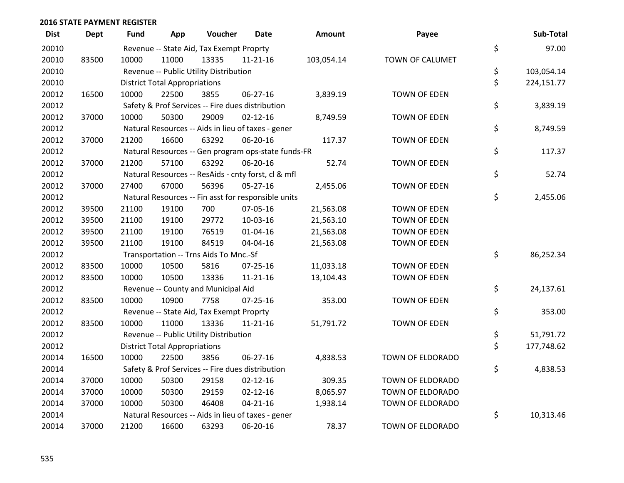| <b>Dist</b> | <b>Dept</b> | <b>Fund</b> | App                                  | Voucher                                             | Date           | <b>Amount</b> | Payee               | Sub-Total        |
|-------------|-------------|-------------|--------------------------------------|-----------------------------------------------------|----------------|---------------|---------------------|------------------|
| 20010       |             |             |                                      | Revenue -- State Aid, Tax Exempt Proprty            |                |               |                     | \$<br>97.00      |
| 20010       | 83500       | 10000       | 11000                                | 13335                                               | $11 - 21 - 16$ | 103,054.14    | TOWN OF CALUMET     |                  |
| 20010       |             |             |                                      | Revenue -- Public Utility Distribution              |                |               |                     | \$<br>103,054.14 |
| 20010       |             |             | <b>District Total Appropriations</b> |                                                     |                |               |                     | \$<br>224,151.77 |
| 20012       | 16500       | 10000       | 22500                                | 3855                                                | 06-27-16       | 3,839.19      | <b>TOWN OF EDEN</b> |                  |
| 20012       |             |             |                                      | Safety & Prof Services -- Fire dues distribution    |                |               |                     | \$<br>3,839.19   |
| 20012       | 37000       | 10000       | 50300                                | 29009                                               | $02 - 12 - 16$ | 8,749.59      | <b>TOWN OF EDEN</b> |                  |
| 20012       |             |             |                                      | Natural Resources -- Aids in lieu of taxes - gener  |                |               |                     | \$<br>8,749.59   |
| 20012       | 37000       | 21200       | 16600                                | 63292                                               | 06-20-16       | 117.37        | <b>TOWN OF EDEN</b> |                  |
| 20012       |             |             |                                      | Natural Resources -- Gen program ops-state funds-FR |                |               |                     | \$<br>117.37     |
| 20012       | 37000       | 21200       | 57100                                | 63292                                               | 06-20-16       | 52.74         | <b>TOWN OF EDEN</b> |                  |
| 20012       |             |             |                                      | Natural Resources -- ResAids - cnty forst, cl & mfl |                |               |                     | \$<br>52.74      |
| 20012       | 37000       | 27400       | 67000                                | 56396                                               | $05 - 27 - 16$ | 2,455.06      | <b>TOWN OF EDEN</b> |                  |
| 20012       |             |             |                                      | Natural Resources -- Fin asst for responsible units |                |               |                     | \$<br>2,455.06   |
| 20012       | 39500       | 21100       | 19100                                | 700                                                 | 07-05-16       | 21,563.08     | <b>TOWN OF EDEN</b> |                  |
| 20012       | 39500       | 21100       | 19100                                | 29772                                               | 10-03-16       | 21,563.10     | <b>TOWN OF EDEN</b> |                  |
| 20012       | 39500       | 21100       | 19100                                | 76519                                               | 01-04-16       | 21,563.08     | <b>TOWN OF EDEN</b> |                  |
| 20012       | 39500       | 21100       | 19100                                | 84519                                               | 04-04-16       | 21,563.08     | TOWN OF EDEN        |                  |
| 20012       |             |             |                                      | Transportation -- Trns Aids To Mnc.-Sf              |                |               |                     | \$<br>86,252.34  |
| 20012       | 83500       | 10000       | 10500                                | 5816                                                | 07-25-16       | 11,033.18     | <b>TOWN OF EDEN</b> |                  |
| 20012       | 83500       | 10000       | 10500                                | 13336                                               | $11 - 21 - 16$ | 13,104.43     | <b>TOWN OF EDEN</b> |                  |
| 20012       |             |             |                                      | Revenue -- County and Municipal Aid                 |                |               |                     | \$<br>24,137.61  |
| 20012       | 83500       | 10000       | 10900                                | 7758                                                | $07 - 25 - 16$ | 353.00        | <b>TOWN OF EDEN</b> |                  |
| 20012       |             |             |                                      | Revenue -- State Aid, Tax Exempt Proprty            |                |               |                     | \$<br>353.00     |
| 20012       | 83500       | 10000       | 11000                                | 13336                                               | $11 - 21 - 16$ | 51,791.72     | <b>TOWN OF EDEN</b> |                  |
| 20012       |             |             |                                      | Revenue -- Public Utility Distribution              |                |               |                     | \$<br>51,791.72  |
| 20012       |             |             | <b>District Total Appropriations</b> |                                                     |                |               |                     | \$<br>177,748.62 |
| 20014       | 16500       | 10000       | 22500                                | 3856                                                | 06-27-16       | 4,838.53      | TOWN OF ELDORADO    |                  |
| 20014       |             |             |                                      | Safety & Prof Services -- Fire dues distribution    |                |               |                     | \$<br>4,838.53   |
| 20014       | 37000       | 10000       | 50300                                | 29158                                               | $02 - 12 - 16$ | 309.35        | TOWN OF ELDORADO    |                  |
| 20014       | 37000       | 10000       | 50300                                | 29159                                               | $02 - 12 - 16$ | 8,065.97      | TOWN OF ELDORADO    |                  |
| 20014       | 37000       | 10000       | 50300                                | 46408                                               | $04 - 21 - 16$ | 1,938.14      | TOWN OF ELDORADO    |                  |
| 20014       |             |             |                                      | Natural Resources -- Aids in lieu of taxes - gener  |                |               |                     | \$<br>10,313.46  |
| 20014       | 37000       | 21200       | 16600                                | 63293                                               | 06-20-16       | 78.37         | TOWN OF ELDORADO    |                  |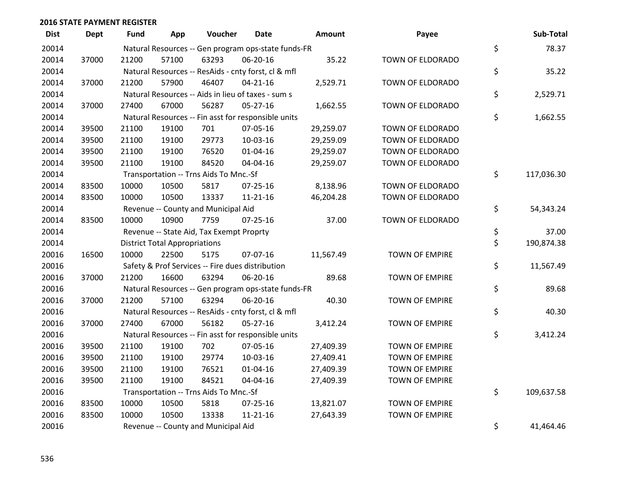| <b>Dist</b> | <b>Dept</b> | Fund  | App                                  | Voucher                                             | <b>Date</b>    | Amount    | Payee                 | Sub-Total        |
|-------------|-------------|-------|--------------------------------------|-----------------------------------------------------|----------------|-----------|-----------------------|------------------|
| 20014       |             |       |                                      | Natural Resources -- Gen program ops-state funds-FR |                |           |                       | \$<br>78.37      |
| 20014       | 37000       | 21200 | 57100                                | 63293                                               | 06-20-16       | 35.22     | TOWN OF ELDORADO      |                  |
| 20014       |             |       |                                      | Natural Resources -- ResAids - cnty forst, cl & mfl |                |           |                       | \$<br>35.22      |
| 20014       | 37000       | 21200 | 57900                                | 46407                                               | $04 - 21 - 16$ | 2,529.71  | TOWN OF ELDORADO      |                  |
| 20014       |             |       |                                      | Natural Resources -- Aids in lieu of taxes - sum s  |                |           |                       | \$<br>2,529.71   |
| 20014       | 37000       | 27400 | 67000                                | 56287                                               | $05 - 27 - 16$ | 1,662.55  | TOWN OF ELDORADO      |                  |
| 20014       |             |       |                                      | Natural Resources -- Fin asst for responsible units |                |           |                       | \$<br>1,662.55   |
| 20014       | 39500       | 21100 | 19100                                | 701                                                 | 07-05-16       | 29,259.07 | TOWN OF ELDORADO      |                  |
| 20014       | 39500       | 21100 | 19100                                | 29773                                               | 10-03-16       | 29,259.09 | TOWN OF ELDORADO      |                  |
| 20014       | 39500       | 21100 | 19100                                | 76520                                               | $01 - 04 - 16$ | 29,259.07 | TOWN OF ELDORADO      |                  |
| 20014       | 39500       | 21100 | 19100                                | 84520                                               | 04-04-16       | 29,259.07 | TOWN OF ELDORADO      |                  |
| 20014       |             |       |                                      | Transportation -- Trns Aids To Mnc.-Sf              |                |           |                       | \$<br>117,036.30 |
| 20014       | 83500       | 10000 | 10500                                | 5817                                                | $07 - 25 - 16$ | 8,138.96  | TOWN OF ELDORADO      |                  |
| 20014       | 83500       | 10000 | 10500                                | 13337                                               | $11 - 21 - 16$ | 46,204.28 | TOWN OF ELDORADO      |                  |
| 20014       |             |       |                                      | Revenue -- County and Municipal Aid                 |                |           |                       | \$<br>54,343.24  |
| 20014       | 83500       | 10000 | 10900                                | 7759                                                | $07 - 25 - 16$ | 37.00     | TOWN OF ELDORADO      |                  |
| 20014       |             |       |                                      | Revenue -- State Aid, Tax Exempt Proprty            |                |           |                       | \$<br>37.00      |
| 20014       |             |       | <b>District Total Appropriations</b> |                                                     |                |           |                       | \$<br>190,874.38 |
| 20016       | 16500       | 10000 | 22500                                | 5175                                                | 07-07-16       | 11,567.49 | <b>TOWN OF EMPIRE</b> |                  |
| 20016       |             |       |                                      | Safety & Prof Services -- Fire dues distribution    |                |           |                       | \$<br>11,567.49  |
| 20016       | 37000       | 21200 | 16600                                | 63294                                               | 06-20-16       | 89.68     | <b>TOWN OF EMPIRE</b> |                  |
| 20016       |             |       |                                      | Natural Resources -- Gen program ops-state funds-FR |                |           |                       | \$<br>89.68      |
| 20016       | 37000       | 21200 | 57100                                | 63294                                               | 06-20-16       | 40.30     | <b>TOWN OF EMPIRE</b> |                  |
| 20016       |             |       |                                      | Natural Resources -- ResAids - cnty forst, cl & mfl |                |           |                       | \$<br>40.30      |
| 20016       | 37000       | 27400 | 67000                                | 56182                                               | $05 - 27 - 16$ | 3,412.24  | <b>TOWN OF EMPIRE</b> |                  |
| 20016       |             |       |                                      | Natural Resources -- Fin asst for responsible units |                |           |                       | \$<br>3,412.24   |
| 20016       | 39500       | 21100 | 19100                                | 702                                                 | 07-05-16       | 27,409.39 | <b>TOWN OF EMPIRE</b> |                  |
| 20016       | 39500       | 21100 | 19100                                | 29774                                               | 10-03-16       | 27,409.41 | <b>TOWN OF EMPIRE</b> |                  |
| 20016       | 39500       | 21100 | 19100                                | 76521                                               | $01 - 04 - 16$ | 27,409.39 | <b>TOWN OF EMPIRE</b> |                  |
| 20016       | 39500       | 21100 | 19100                                | 84521                                               | 04-04-16       | 27,409.39 | <b>TOWN OF EMPIRE</b> |                  |
| 20016       |             |       |                                      | Transportation -- Trns Aids To Mnc.-Sf              |                |           |                       | \$<br>109,637.58 |
| 20016       | 83500       | 10000 | 10500                                | 5818                                                | $07 - 25 - 16$ | 13,821.07 | <b>TOWN OF EMPIRE</b> |                  |
| 20016       | 83500       | 10000 | 10500                                | 13338                                               | $11 - 21 - 16$ | 27,643.39 | <b>TOWN OF EMPIRE</b> |                  |
| 20016       |             |       |                                      | Revenue -- County and Municipal Aid                 |                |           |                       | \$<br>41,464.46  |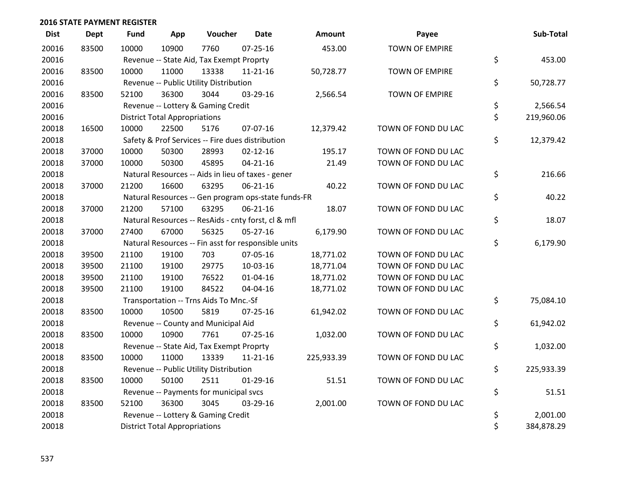| <b>Dist</b> | <b>Dept</b> | Fund  | App                                  | Voucher                                             | <b>Date</b>    | Amount     | Payee                 | Sub-Total        |
|-------------|-------------|-------|--------------------------------------|-----------------------------------------------------|----------------|------------|-----------------------|------------------|
| 20016       | 83500       | 10000 | 10900                                | 7760                                                | $07 - 25 - 16$ | 453.00     | <b>TOWN OF EMPIRE</b> |                  |
| 20016       |             |       |                                      | Revenue -- State Aid, Tax Exempt Proprty            |                |            |                       | \$<br>453.00     |
| 20016       | 83500       | 10000 | 11000                                | 13338                                               | $11 - 21 - 16$ | 50,728.77  | <b>TOWN OF EMPIRE</b> |                  |
| 20016       |             |       |                                      | Revenue -- Public Utility Distribution              |                |            |                       | \$<br>50,728.77  |
| 20016       | 83500       | 52100 | 36300                                | 3044                                                | 03-29-16       | 2,566.54   | <b>TOWN OF EMPIRE</b> |                  |
| 20016       |             |       |                                      | Revenue -- Lottery & Gaming Credit                  |                |            |                       | \$<br>2,566.54   |
| 20016       |             |       | <b>District Total Appropriations</b> |                                                     |                |            |                       | \$<br>219,960.06 |
| 20018       | 16500       | 10000 | 22500                                | 5176                                                | 07-07-16       | 12,379.42  | TOWN OF FOND DU LAC   |                  |
| 20018       |             |       |                                      | Safety & Prof Services -- Fire dues distribution    |                |            |                       | \$<br>12,379.42  |
| 20018       | 37000       | 10000 | 50300                                | 28993                                               | $02 - 12 - 16$ | 195.17     | TOWN OF FOND DU LAC   |                  |
| 20018       | 37000       | 10000 | 50300                                | 45895                                               | $04 - 21 - 16$ | 21.49      | TOWN OF FOND DU LAC   |                  |
| 20018       |             |       |                                      | Natural Resources -- Aids in lieu of taxes - gener  |                |            |                       | \$<br>216.66     |
| 20018       | 37000       | 21200 | 16600                                | 63295                                               | $06 - 21 - 16$ | 40.22      | TOWN OF FOND DU LAC   |                  |
| 20018       |             |       |                                      | Natural Resources -- Gen program ops-state funds-FR |                |            |                       | \$<br>40.22      |
| 20018       | 37000       | 21200 | 57100                                | 63295                                               | $06 - 21 - 16$ | 18.07      | TOWN OF FOND DU LAC   |                  |
| 20018       |             |       |                                      | Natural Resources -- ResAids - cnty forst, cl & mfl |                |            |                       | \$<br>18.07      |
| 20018       | 37000       | 27400 | 67000                                | 56325                                               | 05-27-16       | 6,179.90   | TOWN OF FOND DU LAC   |                  |
| 20018       |             |       |                                      | Natural Resources -- Fin asst for responsible units |                |            |                       | \$<br>6,179.90   |
| 20018       | 39500       | 21100 | 19100                                | 703                                                 | 07-05-16       | 18,771.02  | TOWN OF FOND DU LAC   |                  |
| 20018       | 39500       | 21100 | 19100                                | 29775                                               | 10-03-16       | 18,771.04  | TOWN OF FOND DU LAC   |                  |
| 20018       | 39500       | 21100 | 19100                                | 76522                                               | $01 - 04 - 16$ | 18,771.02  | TOWN OF FOND DU LAC   |                  |
| 20018       | 39500       | 21100 | 19100                                | 84522                                               | 04-04-16       | 18,771.02  | TOWN OF FOND DU LAC   |                  |
| 20018       |             |       |                                      | Transportation -- Trns Aids To Mnc.-Sf              |                |            |                       | \$<br>75,084.10  |
| 20018       | 83500       | 10000 | 10500                                | 5819                                                | 07-25-16       | 61,942.02  | TOWN OF FOND DU LAC   |                  |
| 20018       |             |       |                                      | Revenue -- County and Municipal Aid                 |                |            |                       | \$<br>61,942.02  |
| 20018       | 83500       | 10000 | 10900                                | 7761                                                | $07 - 25 - 16$ | 1,032.00   | TOWN OF FOND DU LAC   |                  |
| 20018       |             |       |                                      | Revenue -- State Aid, Tax Exempt Proprty            |                |            |                       | \$<br>1,032.00   |
| 20018       | 83500       | 10000 | 11000                                | 13339                                               | $11 - 21 - 16$ | 225,933.39 | TOWN OF FOND DU LAC   |                  |
| 20018       |             |       |                                      | Revenue -- Public Utility Distribution              |                |            |                       | \$<br>225,933.39 |
| 20018       | 83500       | 10000 | 50100                                | 2511                                                | $01-29-16$     | 51.51      | TOWN OF FOND DU LAC   |                  |
| 20018       |             |       |                                      | Revenue -- Payments for municipal svcs              |                |            |                       | \$<br>51.51      |
| 20018       | 83500       | 52100 | 36300                                | 3045                                                | 03-29-16       | 2,001.00   | TOWN OF FOND DU LAC   |                  |
| 20018       |             |       |                                      | Revenue -- Lottery & Gaming Credit                  |                |            |                       | \$<br>2,001.00   |
| 20018       |             |       | <b>District Total Appropriations</b> |                                                     |                |            |                       | \$<br>384,878.29 |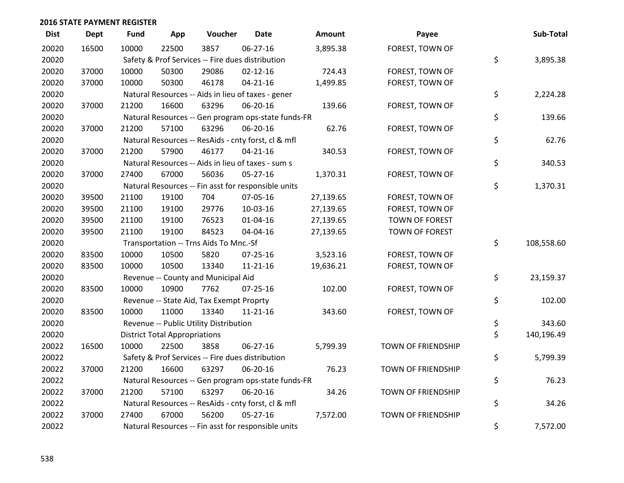| <b>Dist</b> | <b>Dept</b> | <b>Fund</b> | App                                  | Voucher                                             | Date           | Amount    | Payee                     | Sub-Total        |
|-------------|-------------|-------------|--------------------------------------|-----------------------------------------------------|----------------|-----------|---------------------------|------------------|
| 20020       | 16500       | 10000       | 22500                                | 3857                                                | 06-27-16       | 3,895.38  | FOREST, TOWN OF           |                  |
| 20020       |             |             |                                      | Safety & Prof Services -- Fire dues distribution    |                |           |                           | \$<br>3,895.38   |
| 20020       | 37000       | 10000       | 50300                                | 29086                                               | $02 - 12 - 16$ | 724.43    | FOREST, TOWN OF           |                  |
| 20020       | 37000       | 10000       | 50300                                | 46178                                               | $04 - 21 - 16$ | 1,499.85  | FOREST, TOWN OF           |                  |
| 20020       |             |             |                                      | Natural Resources -- Aids in lieu of taxes - gener  |                |           |                           | \$<br>2,224.28   |
| 20020       | 37000       | 21200       | 16600                                | 63296                                               | 06-20-16       | 139.66    | FOREST, TOWN OF           |                  |
| 20020       |             |             |                                      | Natural Resources -- Gen program ops-state funds-FR |                |           |                           | \$<br>139.66     |
| 20020       | 37000       | 21200       | 57100                                | 63296                                               | 06-20-16       | 62.76     | FOREST, TOWN OF           |                  |
| 20020       |             |             |                                      | Natural Resources -- ResAids - cnty forst, cl & mfl |                |           |                           | \$<br>62.76      |
| 20020       | 37000       | 21200       | 57900                                | 46177                                               | $04 - 21 - 16$ | 340.53    | FOREST, TOWN OF           |                  |
| 20020       |             |             |                                      | Natural Resources -- Aids in lieu of taxes - sum s  |                |           |                           | \$<br>340.53     |
| 20020       | 37000       | 27400       | 67000                                | 56036                                               | 05-27-16       | 1,370.31  | FOREST, TOWN OF           |                  |
| 20020       |             |             |                                      | Natural Resources -- Fin asst for responsible units |                |           |                           | \$<br>1,370.31   |
| 20020       | 39500       | 21100       | 19100                                | 704                                                 | 07-05-16       | 27,139.65 | FOREST, TOWN OF           |                  |
| 20020       | 39500       | 21100       | 19100                                | 29776                                               | 10-03-16       | 27,139.65 | FOREST, TOWN OF           |                  |
| 20020       | 39500       | 21100       | 19100                                | 76523                                               | $01 - 04 - 16$ | 27,139.65 | <b>TOWN OF FOREST</b>     |                  |
| 20020       | 39500       | 21100       | 19100                                | 84523                                               | 04-04-16       | 27,139.65 | <b>TOWN OF FOREST</b>     |                  |
| 20020       |             |             |                                      | Transportation -- Trns Aids To Mnc.-Sf              |                |           |                           | \$<br>108,558.60 |
| 20020       | 83500       | 10000       | 10500                                | 5820                                                | 07-25-16       | 3,523.16  | FOREST, TOWN OF           |                  |
| 20020       | 83500       | 10000       | 10500                                | 13340                                               | $11 - 21 - 16$ | 19,636.21 | FOREST, TOWN OF           |                  |
| 20020       |             |             |                                      | Revenue -- County and Municipal Aid                 |                |           |                           | \$<br>23,159.37  |
| 20020       | 83500       | 10000       | 10900                                | 7762                                                | $07 - 25 - 16$ | 102.00    | FOREST, TOWN OF           |                  |
| 20020       |             |             |                                      | Revenue -- State Aid, Tax Exempt Proprty            |                |           |                           | \$<br>102.00     |
| 20020       | 83500       | 10000       | 11000                                | 13340                                               | $11 - 21 - 16$ | 343.60    | FOREST, TOWN OF           |                  |
| 20020       |             |             |                                      | Revenue -- Public Utility Distribution              |                |           |                           | \$<br>343.60     |
| 20020       |             |             | <b>District Total Appropriations</b> |                                                     |                |           |                           | \$<br>140,196.49 |
| 20022       | 16500       | 10000       | 22500                                | 3858                                                | 06-27-16       | 5,799.39  | TOWN OF FRIENDSHIP        |                  |
| 20022       |             |             |                                      | Safety & Prof Services -- Fire dues distribution    |                |           |                           | \$<br>5,799.39   |
| 20022       | 37000       | 21200       | 16600                                | 63297                                               | 06-20-16       | 76.23     | <b>TOWN OF FRIENDSHIP</b> |                  |
| 20022       |             |             |                                      | Natural Resources -- Gen program ops-state funds-FR |                |           |                           | \$<br>76.23      |
| 20022       | 37000       | 21200       | 57100                                | 63297                                               | 06-20-16       | 34.26     | TOWN OF FRIENDSHIP        |                  |
| 20022       |             |             |                                      | Natural Resources -- ResAids - cnty forst, cl & mfl |                |           |                           | \$<br>34.26      |
| 20022       | 37000       | 27400       | 67000                                | 56200                                               | $05 - 27 - 16$ | 7,572.00  | <b>TOWN OF FRIENDSHIP</b> |                  |
| 20022       |             |             |                                      | Natural Resources -- Fin asst for responsible units |                |           |                           | \$<br>7,572.00   |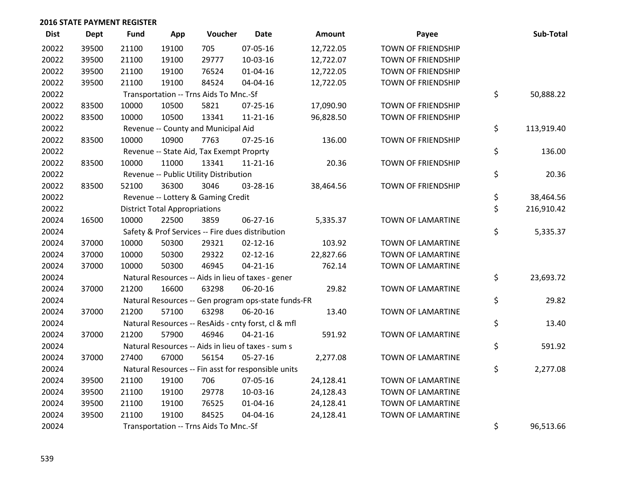| <b>Dist</b> | Dept  | <b>Fund</b> | App                                  | Voucher                                             | <b>Date</b>    | <b>Amount</b> | Payee                     | Sub-Total        |
|-------------|-------|-------------|--------------------------------------|-----------------------------------------------------|----------------|---------------|---------------------------|------------------|
| 20022       | 39500 | 21100       | 19100                                | 705                                                 | 07-05-16       | 12,722.05     | <b>TOWN OF FRIENDSHIP</b> |                  |
| 20022       | 39500 | 21100       | 19100                                | 29777                                               | 10-03-16       | 12,722.07     | TOWN OF FRIENDSHIP        |                  |
| 20022       | 39500 | 21100       | 19100                                | 76524                                               | $01 - 04 - 16$ | 12,722.05     | TOWN OF FRIENDSHIP        |                  |
| 20022       | 39500 | 21100       | 19100                                | 84524                                               | 04-04-16       | 12,722.05     | TOWN OF FRIENDSHIP        |                  |
| 20022       |       |             |                                      | Transportation -- Trns Aids To Mnc.-Sf              |                |               |                           | \$<br>50,888.22  |
| 20022       | 83500 | 10000       | 10500                                | 5821                                                | $07 - 25 - 16$ | 17,090.90     | TOWN OF FRIENDSHIP        |                  |
| 20022       | 83500 | 10000       | 10500                                | 13341                                               | $11 - 21 - 16$ | 96,828.50     | TOWN OF FRIENDSHIP        |                  |
| 20022       |       |             |                                      | Revenue -- County and Municipal Aid                 |                |               |                           | \$<br>113,919.40 |
| 20022       | 83500 | 10000       | 10900                                | 7763                                                | 07-25-16       | 136.00        | TOWN OF FRIENDSHIP        |                  |
| 20022       |       |             |                                      | Revenue -- State Aid, Tax Exempt Proprty            |                |               |                           | \$<br>136.00     |
| 20022       | 83500 | 10000       | 11000                                | 13341                                               | $11 - 21 - 16$ | 20.36         | <b>TOWN OF FRIENDSHIP</b> |                  |
| 20022       |       |             |                                      | Revenue -- Public Utility Distribution              |                |               |                           | \$<br>20.36      |
| 20022       | 83500 | 52100       | 36300                                | 3046                                                | 03-28-16       | 38,464.56     | <b>TOWN OF FRIENDSHIP</b> |                  |
| 20022       |       |             |                                      | Revenue -- Lottery & Gaming Credit                  |                |               |                           | \$<br>38,464.56  |
| 20022       |       |             | <b>District Total Appropriations</b> |                                                     |                |               |                           | \$<br>216,910.42 |
| 20024       | 16500 | 10000       | 22500                                | 3859                                                | $06 - 27 - 16$ | 5,335.37      | TOWN OF LAMARTINE         |                  |
| 20024       |       |             |                                      | Safety & Prof Services -- Fire dues distribution    |                |               |                           | \$<br>5,335.37   |
| 20024       | 37000 | 10000       | 50300                                | 29321                                               | $02 - 12 - 16$ | 103.92        | TOWN OF LAMARTINE         |                  |
| 20024       | 37000 | 10000       | 50300                                | 29322                                               | $02 - 12 - 16$ | 22,827.66     | TOWN OF LAMARTINE         |                  |
| 20024       | 37000 | 10000       | 50300                                | 46945                                               | $04 - 21 - 16$ | 762.14        | TOWN OF LAMARTINE         |                  |
| 20024       |       |             |                                      | Natural Resources -- Aids in lieu of taxes - gener  |                |               |                           | \$<br>23,693.72  |
| 20024       | 37000 | 21200       | 16600                                | 63298                                               | 06-20-16       | 29.82         | TOWN OF LAMARTINE         |                  |
| 20024       |       |             |                                      | Natural Resources -- Gen program ops-state funds-FR |                |               |                           | \$<br>29.82      |
| 20024       | 37000 | 21200       | 57100                                | 63298                                               | 06-20-16       | 13.40         | TOWN OF LAMARTINE         |                  |
| 20024       |       |             |                                      | Natural Resources -- ResAids - cnty forst, cl & mfl |                |               |                           | \$<br>13.40      |
| 20024       | 37000 | 21200       | 57900                                | 46946                                               | $04 - 21 - 16$ | 591.92        | TOWN OF LAMARTINE         |                  |
| 20024       |       |             |                                      | Natural Resources -- Aids in lieu of taxes - sum s  |                |               |                           | \$<br>591.92     |
| 20024       | 37000 | 27400       | 67000                                | 56154                                               | $05 - 27 - 16$ | 2,277.08      | TOWN OF LAMARTINE         |                  |
| 20024       |       |             |                                      | Natural Resources -- Fin asst for responsible units |                |               |                           | \$<br>2,277.08   |
| 20024       | 39500 | 21100       | 19100                                | 706                                                 | 07-05-16       | 24,128.41     | TOWN OF LAMARTINE         |                  |
| 20024       | 39500 | 21100       | 19100                                | 29778                                               | 10-03-16       | 24,128.43     | TOWN OF LAMARTINE         |                  |
| 20024       | 39500 | 21100       | 19100                                | 76525                                               | $01 - 04 - 16$ | 24,128.41     | TOWN OF LAMARTINE         |                  |
| 20024       | 39500 | 21100       | 19100                                | 84525                                               | 04-04-16       | 24,128.41     | TOWN OF LAMARTINE         |                  |
| 20024       |       |             |                                      | Transportation -- Trns Aids To Mnc.-Sf              |                |               |                           | \$<br>96,513.66  |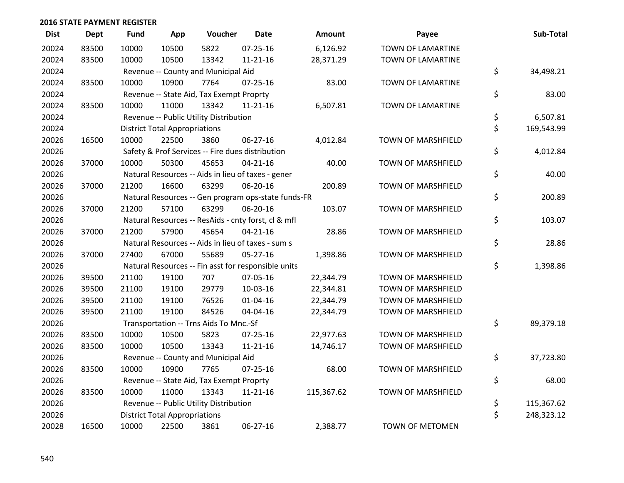| <b>Dist</b> | <b>Dept</b> | <b>Fund</b> | App                                  | Voucher                                          | <b>Date</b>                                         | <b>Amount</b> | Payee                     | Sub-Total        |
|-------------|-------------|-------------|--------------------------------------|--------------------------------------------------|-----------------------------------------------------|---------------|---------------------------|------------------|
| 20024       | 83500       | 10000       | 10500                                | 5822                                             | $07 - 25 - 16$                                      | 6,126.92      | TOWN OF LAMARTINE         |                  |
| 20024       | 83500       | 10000       | 10500                                | 13342                                            | $11 - 21 - 16$                                      | 28,371.29     | TOWN OF LAMARTINE         |                  |
| 20024       |             |             |                                      | Revenue -- County and Municipal Aid              |                                                     |               |                           | \$<br>34,498.21  |
| 20024       | 83500       | 10000       | 10900                                | 7764                                             | $07 - 25 - 16$                                      | 83.00         | TOWN OF LAMARTINE         |                  |
| 20024       |             |             |                                      | Revenue -- State Aid, Tax Exempt Proprty         |                                                     |               |                           | \$<br>83.00      |
| 20024       | 83500       | 10000       | 11000                                | 13342                                            | $11 - 21 - 16$                                      | 6,507.81      | TOWN OF LAMARTINE         |                  |
| 20024       |             |             |                                      | Revenue -- Public Utility Distribution           |                                                     |               |                           | \$<br>6,507.81   |
| 20024       |             |             | <b>District Total Appropriations</b> |                                                  |                                                     |               |                           | \$<br>169,543.99 |
| 20026       | 16500       | 10000       | 22500                                | 3860                                             | 06-27-16                                            | 4,012.84      | TOWN OF MARSHFIELD        |                  |
| 20026       |             |             |                                      | Safety & Prof Services -- Fire dues distribution |                                                     |               |                           | \$<br>4,012.84   |
| 20026       | 37000       | 10000       | 50300                                | 45653                                            | $04 - 21 - 16$                                      | 40.00         | TOWN OF MARSHFIELD        |                  |
| 20026       |             |             |                                      |                                                  | Natural Resources -- Aids in lieu of taxes - gener  |               |                           | \$<br>40.00      |
| 20026       | 37000       | 21200       | 16600                                | 63299                                            | 06-20-16                                            | 200.89        | <b>TOWN OF MARSHFIELD</b> |                  |
| 20026       |             |             |                                      |                                                  | Natural Resources -- Gen program ops-state funds-FR |               |                           | \$<br>200.89     |
| 20026       | 37000       | 21200       | 57100                                | 63299                                            | 06-20-16                                            | 103.07        | <b>TOWN OF MARSHFIELD</b> |                  |
| 20026       |             |             |                                      |                                                  | Natural Resources -- ResAids - cnty forst, cl & mfl |               |                           | \$<br>103.07     |
| 20026       | 37000       | 21200       | 57900                                | 45654                                            | $04 - 21 - 16$                                      | 28.86         | <b>TOWN OF MARSHFIELD</b> |                  |
| 20026       |             |             |                                      |                                                  | Natural Resources -- Aids in lieu of taxes - sum s  |               |                           | \$<br>28.86      |
| 20026       | 37000       | 27400       | 67000                                | 55689                                            | 05-27-16                                            | 1,398.86      | TOWN OF MARSHFIELD        |                  |
| 20026       |             |             |                                      |                                                  | Natural Resources -- Fin asst for responsible units |               |                           | \$<br>1,398.86   |
| 20026       | 39500       | 21100       | 19100                                | 707                                              | 07-05-16                                            | 22,344.79     | TOWN OF MARSHFIELD        |                  |
| 20026       | 39500       | 21100       | 19100                                | 29779                                            | 10-03-16                                            | 22,344.81     | TOWN OF MARSHFIELD        |                  |
| 20026       | 39500       | 21100       | 19100                                | 76526                                            | $01 - 04 - 16$                                      | 22,344.79     | TOWN OF MARSHFIELD        |                  |
| 20026       | 39500       | 21100       | 19100                                | 84526                                            | 04-04-16                                            | 22,344.79     | TOWN OF MARSHFIELD        |                  |
| 20026       |             |             |                                      | Transportation -- Trns Aids To Mnc.-Sf           |                                                     |               |                           | \$<br>89,379.18  |
| 20026       | 83500       | 10000       | 10500                                | 5823                                             | $07 - 25 - 16$                                      | 22,977.63     | TOWN OF MARSHFIELD        |                  |
| 20026       | 83500       | 10000       | 10500                                | 13343                                            | $11 - 21 - 16$                                      | 14,746.17     | TOWN OF MARSHFIELD        |                  |
| 20026       |             |             |                                      | Revenue -- County and Municipal Aid              |                                                     |               |                           | \$<br>37,723.80  |
| 20026       | 83500       | 10000       | 10900                                | 7765                                             | $07 - 25 - 16$                                      | 68.00         | <b>TOWN OF MARSHFIELD</b> |                  |
| 20026       |             |             |                                      | Revenue -- State Aid, Tax Exempt Proprty         |                                                     |               |                           | \$<br>68.00      |
| 20026       | 83500       | 10000       | 11000                                | 13343                                            | $11 - 21 - 16$                                      | 115,367.62    | TOWN OF MARSHFIELD        |                  |
| 20026       |             |             |                                      | Revenue -- Public Utility Distribution           |                                                     |               |                           | \$<br>115,367.62 |
| 20026       |             |             | <b>District Total Appropriations</b> |                                                  |                                                     |               |                           | \$<br>248,323.12 |
| 20028       | 16500       | 10000       | 22500                                | 3861                                             | 06-27-16                                            | 2,388.77      | TOWN OF METOMEN           |                  |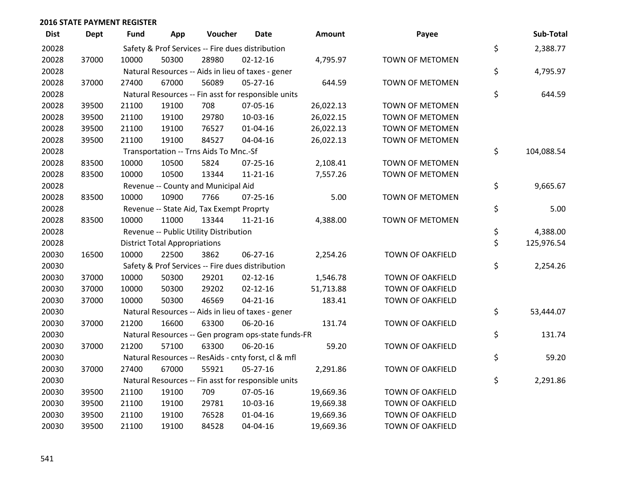| <b>Dist</b> | <b>Dept</b> | <b>Fund</b> | App                                  | Voucher                                  | Date                                                | <b>Amount</b> | Payee                   | Sub-Total        |
|-------------|-------------|-------------|--------------------------------------|------------------------------------------|-----------------------------------------------------|---------------|-------------------------|------------------|
| 20028       |             |             |                                      |                                          | Safety & Prof Services -- Fire dues distribution    |               |                         | \$<br>2,388.77   |
| 20028       | 37000       | 10000       | 50300                                | 28980                                    | $02 - 12 - 16$                                      | 4,795.97      | TOWN OF METOMEN         |                  |
| 20028       |             |             |                                      |                                          | Natural Resources -- Aids in lieu of taxes - gener  |               |                         | \$<br>4,795.97   |
| 20028       | 37000       | 27400       | 67000                                | 56089                                    | 05-27-16                                            | 644.59        | TOWN OF METOMEN         |                  |
| 20028       |             |             |                                      |                                          | Natural Resources -- Fin asst for responsible units |               |                         | \$<br>644.59     |
| 20028       | 39500       | 21100       | 19100                                | 708                                      | 07-05-16                                            | 26,022.13     | <b>TOWN OF METOMEN</b>  |                  |
| 20028       | 39500       | 21100       | 19100                                | 29780                                    | 10-03-16                                            | 26,022.15     | TOWN OF METOMEN         |                  |
| 20028       | 39500       | 21100       | 19100                                | 76527                                    | $01 - 04 - 16$                                      | 26,022.13     | <b>TOWN OF METOMEN</b>  |                  |
| 20028       | 39500       | 21100       | 19100                                | 84527                                    | 04-04-16                                            | 26,022.13     | TOWN OF METOMEN         |                  |
| 20028       |             |             |                                      | Transportation -- Trns Aids To Mnc.-Sf   |                                                     |               |                         | \$<br>104,088.54 |
| 20028       | 83500       | 10000       | 10500                                | 5824                                     | $07 - 25 - 16$                                      | 2,108.41      | <b>TOWN OF METOMEN</b>  |                  |
| 20028       | 83500       | 10000       | 10500                                | 13344                                    | $11 - 21 - 16$                                      | 7,557.26      | TOWN OF METOMEN         |                  |
| 20028       |             |             |                                      | Revenue -- County and Municipal Aid      |                                                     |               |                         | \$<br>9,665.67   |
| 20028       | 83500       | 10000       | 10900                                | 7766                                     | $07 - 25 - 16$                                      | 5.00          | TOWN OF METOMEN         |                  |
| 20028       |             |             |                                      | Revenue -- State Aid, Tax Exempt Proprty |                                                     |               |                         | \$<br>5.00       |
| 20028       | 83500       | 10000       | 11000                                | 13344                                    | 11-21-16                                            | 4,388.00      | <b>TOWN OF METOMEN</b>  |                  |
| 20028       |             |             |                                      | Revenue -- Public Utility Distribution   |                                                     |               |                         | \$<br>4,388.00   |
| 20028       |             |             | <b>District Total Appropriations</b> |                                          |                                                     |               |                         | \$<br>125,976.54 |
| 20030       | 16500       | 10000       | 22500                                | 3862                                     | 06-27-16                                            | 2,254.26      | TOWN OF OAKFIELD        |                  |
| 20030       |             |             |                                      |                                          | Safety & Prof Services -- Fire dues distribution    |               |                         | \$<br>2,254.26   |
| 20030       | 37000       | 10000       | 50300                                | 29201                                    | $02 - 12 - 16$                                      | 1,546.78      | <b>TOWN OF OAKFIELD</b> |                  |
| 20030       | 37000       | 10000       | 50300                                | 29202                                    | $02 - 12 - 16$                                      | 51,713.88     | <b>TOWN OF OAKFIELD</b> |                  |
| 20030       | 37000       | 10000       | 50300                                | 46569                                    | $04 - 21 - 16$                                      | 183.41        | TOWN OF OAKFIELD        |                  |
| 20030       |             |             |                                      |                                          | Natural Resources -- Aids in lieu of taxes - gener  |               |                         | \$<br>53,444.07  |
| 20030       | 37000       | 21200       | 16600                                | 63300                                    | 06-20-16                                            | 131.74        | <b>TOWN OF OAKFIELD</b> |                  |
| 20030       |             |             |                                      |                                          | Natural Resources -- Gen program ops-state funds-FR |               |                         | \$<br>131.74     |
| 20030       | 37000       | 21200       | 57100                                | 63300                                    | 06-20-16                                            | 59.20         | TOWN OF OAKFIELD        |                  |
| 20030       |             |             |                                      |                                          | Natural Resources -- ResAids - cnty forst, cl & mfl |               |                         | \$<br>59.20      |
| 20030       | 37000       | 27400       | 67000                                | 55921                                    | $05 - 27 - 16$                                      | 2,291.86      | <b>TOWN OF OAKFIELD</b> |                  |
| 20030       |             |             |                                      |                                          | Natural Resources -- Fin asst for responsible units |               |                         | \$<br>2,291.86   |
| 20030       | 39500       | 21100       | 19100                                | 709                                      | 07-05-16                                            | 19,669.36     | <b>TOWN OF OAKFIELD</b> |                  |
| 20030       | 39500       | 21100       | 19100                                | 29781                                    | 10-03-16                                            | 19,669.38     | TOWN OF OAKFIELD        |                  |
| 20030       | 39500       | 21100       | 19100                                | 76528                                    | $01 - 04 - 16$                                      | 19,669.36     | <b>TOWN OF OAKFIELD</b> |                  |
| 20030       | 39500       | 21100       | 19100                                | 84528                                    | 04-04-16                                            | 19,669.36     | <b>TOWN OF OAKFIELD</b> |                  |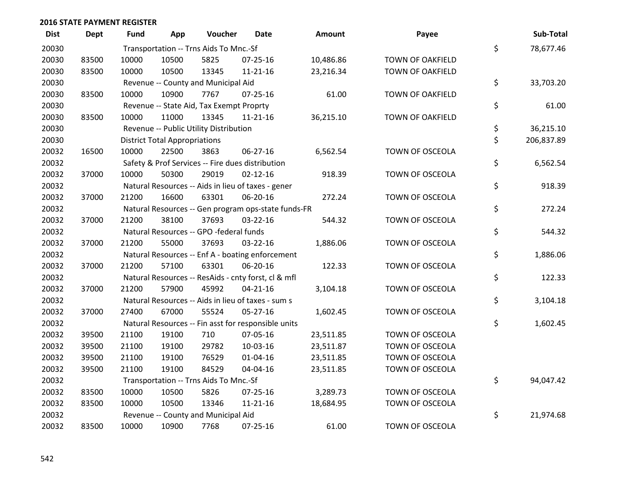| <b>Dist</b> | <b>Dept</b> | <b>Fund</b> | App                                  | Voucher                                  | <b>Date</b>                                         | Amount    | Payee                   | Sub-Total        |
|-------------|-------------|-------------|--------------------------------------|------------------------------------------|-----------------------------------------------------|-----------|-------------------------|------------------|
| 20030       |             |             |                                      | Transportation -- Trns Aids To Mnc.-Sf   |                                                     |           |                         | \$<br>78,677.46  |
| 20030       | 83500       | 10000       | 10500                                | 5825                                     | $07 - 25 - 16$                                      | 10,486.86 | TOWN OF OAKFIELD        |                  |
| 20030       | 83500       | 10000       | 10500                                | 13345                                    | $11 - 21 - 16$                                      | 23,216.34 | TOWN OF OAKFIELD        |                  |
| 20030       |             |             |                                      | Revenue -- County and Municipal Aid      |                                                     |           |                         | \$<br>33,703.20  |
| 20030       | 83500       | 10000       | 10900                                | 7767                                     | $07 - 25 - 16$                                      | 61.00     | <b>TOWN OF OAKFIELD</b> |                  |
| 20030       |             |             |                                      | Revenue -- State Aid, Tax Exempt Proprty |                                                     |           |                         | \$<br>61.00      |
| 20030       | 83500       | 10000       | 11000                                | 13345                                    | $11 - 21 - 16$                                      | 36,215.10 | TOWN OF OAKFIELD        |                  |
| 20030       |             |             |                                      | Revenue -- Public Utility Distribution   |                                                     |           |                         | \$<br>36,215.10  |
| 20030       |             |             | <b>District Total Appropriations</b> |                                          |                                                     |           |                         | \$<br>206,837.89 |
| 20032       | 16500       | 10000       | 22500                                | 3863                                     | 06-27-16                                            | 6,562.54  | TOWN OF OSCEOLA         |                  |
| 20032       |             |             |                                      |                                          | Safety & Prof Services -- Fire dues distribution    |           |                         | \$<br>6,562.54   |
| 20032       | 37000       | 10000       | 50300                                | 29019                                    | $02 - 12 - 16$                                      | 918.39    | TOWN OF OSCEOLA         |                  |
| 20032       |             |             |                                      |                                          | Natural Resources -- Aids in lieu of taxes - gener  |           |                         | \$<br>918.39     |
| 20032       | 37000       | 21200       | 16600                                | 63301                                    | 06-20-16                                            | 272.24    | TOWN OF OSCEOLA         |                  |
| 20032       |             |             |                                      |                                          | Natural Resources -- Gen program ops-state funds-FR |           |                         | \$<br>272.24     |
| 20032       | 37000       | 21200       | 38100                                | 37693                                    | $03 - 22 - 16$                                      | 544.32    | TOWN OF OSCEOLA         |                  |
| 20032       |             |             |                                      | Natural Resources -- GPO -federal funds  |                                                     |           |                         | \$<br>544.32     |
| 20032       | 37000       | 21200       | 55000                                | 37693                                    | $03 - 22 - 16$                                      | 1,886.06  | TOWN OF OSCEOLA         |                  |
| 20032       |             |             |                                      |                                          | Natural Resources -- Enf A - boating enforcement    |           |                         | \$<br>1,886.06   |
| 20032       | 37000       | 21200       | 57100                                | 63301                                    | 06-20-16                                            | 122.33    | TOWN OF OSCEOLA         |                  |
| 20032       |             |             |                                      |                                          | Natural Resources -- ResAids - cnty forst, cl & mfl |           |                         | \$<br>122.33     |
| 20032       | 37000       | 21200       | 57900                                | 45992                                    | $04 - 21 - 16$                                      | 3,104.18  | TOWN OF OSCEOLA         |                  |
| 20032       |             |             |                                      |                                          | Natural Resources -- Aids in lieu of taxes - sum s  |           |                         | \$<br>3,104.18   |
| 20032       | 37000       | 27400       | 67000                                | 55524                                    | 05-27-16                                            | 1,602.45  | TOWN OF OSCEOLA         |                  |
| 20032       |             |             |                                      |                                          | Natural Resources -- Fin asst for responsible units |           |                         | \$<br>1,602.45   |
| 20032       | 39500       | 21100       | 19100                                | 710                                      | 07-05-16                                            | 23,511.85 | TOWN OF OSCEOLA         |                  |
| 20032       | 39500       | 21100       | 19100                                | 29782                                    | 10-03-16                                            | 23,511.87 | TOWN OF OSCEOLA         |                  |
| 20032       | 39500       | 21100       | 19100                                | 76529                                    | $01 - 04 - 16$                                      | 23,511.85 | TOWN OF OSCEOLA         |                  |
| 20032       | 39500       | 21100       | 19100                                | 84529                                    | 04-04-16                                            | 23,511.85 | TOWN OF OSCEOLA         |                  |
| 20032       |             |             |                                      | Transportation -- Trns Aids To Mnc.-Sf   |                                                     |           |                         | \$<br>94,047.42  |
| 20032       | 83500       | 10000       | 10500                                | 5826                                     | $07 - 25 - 16$                                      | 3,289.73  | TOWN OF OSCEOLA         |                  |
| 20032       | 83500       | 10000       | 10500                                | 13346                                    | $11 - 21 - 16$                                      | 18,684.95 | TOWN OF OSCEOLA         |                  |
| 20032       |             |             |                                      | Revenue -- County and Municipal Aid      |                                                     |           |                         | \$<br>21,974.68  |
| 20032       | 83500       | 10000       | 10900                                | 7768                                     | 07-25-16                                            | 61.00     | TOWN OF OSCEOLA         |                  |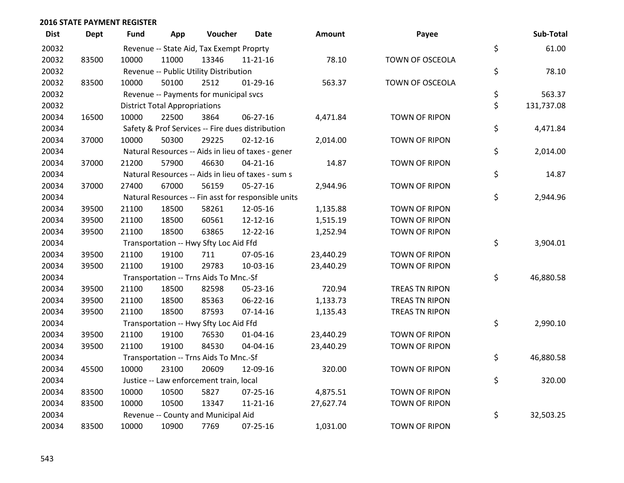| <b>Dist</b> | <b>Dept</b> | <b>Fund</b> | App                                  | Voucher                                             | <b>Date</b>    | <b>Amount</b> | Payee                  | Sub-Total        |
|-------------|-------------|-------------|--------------------------------------|-----------------------------------------------------|----------------|---------------|------------------------|------------------|
| 20032       |             |             |                                      | Revenue -- State Aid, Tax Exempt Proprty            |                |               |                        | \$<br>61.00      |
| 20032       | 83500       | 10000       | 11000                                | 13346                                               | $11 - 21 - 16$ | 78.10         | <b>TOWN OF OSCEOLA</b> |                  |
| 20032       |             |             |                                      | Revenue -- Public Utility Distribution              |                |               |                        | \$<br>78.10      |
| 20032       | 83500       | 10000       | 50100                                | 2512                                                | $01-29-16$     | 563.37        | TOWN OF OSCEOLA        |                  |
| 20032       |             |             |                                      | Revenue -- Payments for municipal svcs              |                |               |                        | \$<br>563.37     |
| 20032       |             |             | <b>District Total Appropriations</b> |                                                     |                |               |                        | \$<br>131,737.08 |
| 20034       | 16500       | 10000       | 22500                                | 3864                                                | 06-27-16       | 4,471.84      | <b>TOWN OF RIPON</b>   |                  |
| 20034       |             |             |                                      | Safety & Prof Services -- Fire dues distribution    |                |               |                        | \$<br>4,471.84   |
| 20034       | 37000       | 10000       | 50300                                | 29225                                               | $02 - 12 - 16$ | 2,014.00      | <b>TOWN OF RIPON</b>   |                  |
| 20034       |             |             |                                      | Natural Resources -- Aids in lieu of taxes - gener  |                |               |                        | \$<br>2,014.00   |
| 20034       | 37000       | 21200       | 57900                                | 46630                                               | $04 - 21 - 16$ | 14.87         | <b>TOWN OF RIPON</b>   |                  |
| 20034       |             |             |                                      | Natural Resources -- Aids in lieu of taxes - sum s  |                |               |                        | \$<br>14.87      |
| 20034       | 37000       | 27400       | 67000                                | 56159                                               | $05 - 27 - 16$ | 2,944.96      | <b>TOWN OF RIPON</b>   |                  |
| 20034       |             |             |                                      | Natural Resources -- Fin asst for responsible units |                |               |                        | \$<br>2,944.96   |
| 20034       | 39500       | 21100       | 18500                                | 58261                                               | 12-05-16       | 1,135.88      | <b>TOWN OF RIPON</b>   |                  |
| 20034       | 39500       | 21100       | 18500                                | 60561                                               | 12-12-16       | 1,515.19      | <b>TOWN OF RIPON</b>   |                  |
| 20034       | 39500       | 21100       | 18500                                | 63865                                               | 12-22-16       | 1,252.94      | <b>TOWN OF RIPON</b>   |                  |
| 20034       |             |             |                                      | Transportation -- Hwy Sfty Loc Aid Ffd              |                |               |                        | \$<br>3,904.01   |
| 20034       | 39500       | 21100       | 19100                                | 711                                                 | 07-05-16       | 23,440.29     | <b>TOWN OF RIPON</b>   |                  |
| 20034       | 39500       | 21100       | 19100                                | 29783                                               | 10-03-16       | 23,440.29     | <b>TOWN OF RIPON</b>   |                  |
| 20034       |             |             |                                      | Transportation -- Trns Aids To Mnc.-Sf              |                |               |                        | \$<br>46,880.58  |
| 20034       | 39500       | 21100       | 18500                                | 82598                                               | 05-23-16       | 720.94        | TREAS TN RIPON         |                  |
| 20034       | 39500       | 21100       | 18500                                | 85363                                               | 06-22-16       | 1,133.73      | TREAS TN RIPON         |                  |
| 20034       | 39500       | 21100       | 18500                                | 87593                                               | $07 - 14 - 16$ | 1,135.43      | TREAS TN RIPON         |                  |
| 20034       |             |             |                                      | Transportation -- Hwy Sfty Loc Aid Ffd              |                |               |                        | \$<br>2,990.10   |
| 20034       | 39500       | 21100       | 19100                                | 76530                                               | $01 - 04 - 16$ | 23,440.29     | <b>TOWN OF RIPON</b>   |                  |
| 20034       | 39500       | 21100       | 19100                                | 84530                                               | 04-04-16       | 23,440.29     | <b>TOWN OF RIPON</b>   |                  |
| 20034       |             |             |                                      | Transportation -- Trns Aids To Mnc.-Sf              |                |               |                        | \$<br>46,880.58  |
| 20034       | 45500       | 10000       | 23100                                | 20609                                               | 12-09-16       | 320.00        | <b>TOWN OF RIPON</b>   |                  |
| 20034       |             |             |                                      | Justice -- Law enforcement train, local             |                |               |                        | \$<br>320.00     |
| 20034       | 83500       | 10000       | 10500                                | 5827                                                | $07 - 25 - 16$ | 4,875.51      | <b>TOWN OF RIPON</b>   |                  |
| 20034       | 83500       | 10000       | 10500                                | 13347                                               | $11 - 21 - 16$ | 27,627.74     | <b>TOWN OF RIPON</b>   |                  |
| 20034       |             |             |                                      | Revenue -- County and Municipal Aid                 |                |               |                        | \$<br>32,503.25  |
| 20034       | 83500       | 10000       | 10900                                | 7769                                                | $07 - 25 - 16$ | 1,031.00      | <b>TOWN OF RIPON</b>   |                  |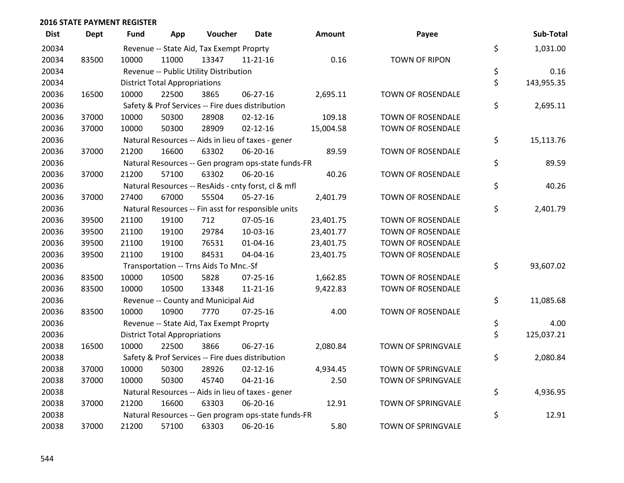| <b>Dist</b> | <b>Dept</b> | Fund  | App                                  | Voucher                                  | Date                                                | Amount    | Payee                | Sub-Total        |
|-------------|-------------|-------|--------------------------------------|------------------------------------------|-----------------------------------------------------|-----------|----------------------|------------------|
| 20034       |             |       |                                      | Revenue -- State Aid, Tax Exempt Proprty |                                                     |           |                      | \$<br>1,031.00   |
| 20034       | 83500       | 10000 | 11000                                | 13347                                    | $11 - 21 - 16$                                      | 0.16      | <b>TOWN OF RIPON</b> |                  |
| 20034       |             |       |                                      | Revenue -- Public Utility Distribution   |                                                     |           |                      | \$<br>0.16       |
| 20034       |             |       | <b>District Total Appropriations</b> |                                          |                                                     |           |                      | \$<br>143,955.35 |
| 20036       | 16500       | 10000 | 22500                                | 3865                                     | 06-27-16                                            | 2,695.11  | TOWN OF ROSENDALE    |                  |
| 20036       |             |       |                                      |                                          | Safety & Prof Services -- Fire dues distribution    |           |                      | \$<br>2,695.11   |
| 20036       | 37000       | 10000 | 50300                                | 28908                                    | $02 - 12 - 16$                                      | 109.18    | TOWN OF ROSENDALE    |                  |
| 20036       | 37000       | 10000 | 50300                                | 28909                                    | $02 - 12 - 16$                                      | 15,004.58 | TOWN OF ROSENDALE    |                  |
| 20036       |             |       |                                      |                                          | Natural Resources -- Aids in lieu of taxes - gener  |           |                      | \$<br>15,113.76  |
| 20036       | 37000       | 21200 | 16600                                | 63302                                    | 06-20-16                                            | 89.59     | TOWN OF ROSENDALE    |                  |
| 20036       |             |       |                                      |                                          | Natural Resources -- Gen program ops-state funds-FR |           |                      | \$<br>89.59      |
| 20036       | 37000       | 21200 | 57100                                | 63302                                    | 06-20-16                                            | 40.26     | TOWN OF ROSENDALE    |                  |
| 20036       |             |       |                                      |                                          | Natural Resources -- ResAids - cnty forst, cl & mfl |           |                      | \$<br>40.26      |
| 20036       | 37000       | 27400 | 67000                                | 55504                                    | $05 - 27 - 16$                                      | 2,401.79  | TOWN OF ROSENDALE    |                  |
| 20036       |             |       |                                      |                                          | Natural Resources -- Fin asst for responsible units |           |                      | \$<br>2,401.79   |
| 20036       | 39500       | 21100 | 19100                                | 712                                      | 07-05-16                                            | 23,401.75 | TOWN OF ROSENDALE    |                  |
| 20036       | 39500       | 21100 | 19100                                | 29784                                    | 10-03-16                                            | 23,401.77 | TOWN OF ROSENDALE    |                  |
| 20036       | 39500       | 21100 | 19100                                | 76531                                    | $01 - 04 - 16$                                      | 23,401.75 | TOWN OF ROSENDALE    |                  |
| 20036       | 39500       | 21100 | 19100                                | 84531                                    | 04-04-16                                            | 23,401.75 | TOWN OF ROSENDALE    |                  |
| 20036       |             |       |                                      | Transportation -- Trns Aids To Mnc.-Sf   |                                                     |           |                      | \$<br>93,607.02  |
| 20036       | 83500       | 10000 | 10500                                | 5828                                     | 07-25-16                                            | 1,662.85  | TOWN OF ROSENDALE    |                  |
| 20036       | 83500       | 10000 | 10500                                | 13348                                    | $11 - 21 - 16$                                      | 9,422.83  | TOWN OF ROSENDALE    |                  |
| 20036       |             |       |                                      | Revenue -- County and Municipal Aid      |                                                     |           |                      | \$<br>11,085.68  |
| 20036       | 83500       | 10000 | 10900                                | 7770                                     | $07 - 25 - 16$                                      | 4.00      | TOWN OF ROSENDALE    |                  |
| 20036       |             |       |                                      | Revenue -- State Aid, Tax Exempt Proprty |                                                     |           |                      | \$<br>4.00       |
| 20036       |             |       | <b>District Total Appropriations</b> |                                          |                                                     |           |                      | \$<br>125,037.21 |
| 20038       | 16500       | 10000 | 22500                                | 3866                                     | 06-27-16                                            | 2,080.84  | TOWN OF SPRINGVALE   |                  |
| 20038       |             |       |                                      |                                          | Safety & Prof Services -- Fire dues distribution    |           |                      | \$<br>2,080.84   |
| 20038       | 37000       | 10000 | 50300                                | 28926                                    | $02 - 12 - 16$                                      | 4,934.45  | TOWN OF SPRINGVALE   |                  |
| 20038       | 37000       | 10000 | 50300                                | 45740                                    | $04 - 21 - 16$                                      | 2.50      | TOWN OF SPRINGVALE   |                  |
| 20038       |             |       |                                      |                                          | Natural Resources -- Aids in lieu of taxes - gener  |           |                      | \$<br>4,936.95   |
| 20038       | 37000       | 21200 | 16600                                | 63303                                    | 06-20-16                                            | 12.91     | TOWN OF SPRINGVALE   |                  |
| 20038       |             |       |                                      |                                          | Natural Resources -- Gen program ops-state funds-FR |           |                      | \$<br>12.91      |
| 20038       | 37000       | 21200 | 57100                                | 63303                                    | 06-20-16                                            | 5.80      | TOWN OF SPRINGVALE   |                  |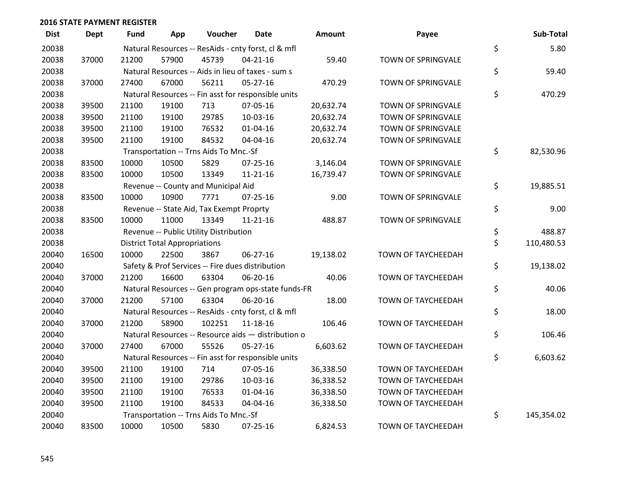| <b>Dist</b> | Dept  | <b>Fund</b> | App                                  | Voucher                                             | Date           | <b>Amount</b> | Payee                     | Sub-Total        |
|-------------|-------|-------------|--------------------------------------|-----------------------------------------------------|----------------|---------------|---------------------------|------------------|
| 20038       |       |             |                                      | Natural Resources -- ResAids - cnty forst, cl & mfl |                |               |                           | \$<br>5.80       |
| 20038       | 37000 | 21200       | 57900                                | 45739                                               | $04 - 21 - 16$ | 59.40         | TOWN OF SPRINGVALE        |                  |
| 20038       |       |             |                                      | Natural Resources -- Aids in lieu of taxes - sum s  |                |               |                           | \$<br>59.40      |
| 20038       | 37000 | 27400       | 67000                                | 56211                                               | $05 - 27 - 16$ | 470.29        | TOWN OF SPRINGVALE        |                  |
| 20038       |       |             |                                      | Natural Resources -- Fin asst for responsible units |                |               |                           | \$<br>470.29     |
| 20038       | 39500 | 21100       | 19100                                | 713                                                 | 07-05-16       | 20,632.74     | TOWN OF SPRINGVALE        |                  |
| 20038       | 39500 | 21100       | 19100                                | 29785                                               | 10-03-16       | 20,632.74     | TOWN OF SPRINGVALE        |                  |
| 20038       | 39500 | 21100       | 19100                                | 76532                                               | $01 - 04 - 16$ | 20,632.74     | TOWN OF SPRINGVALE        |                  |
| 20038       | 39500 | 21100       | 19100                                | 84532                                               | 04-04-16       | 20,632.74     | TOWN OF SPRINGVALE        |                  |
| 20038       |       |             |                                      | Transportation -- Trns Aids To Mnc.-Sf              |                |               |                           | \$<br>82,530.96  |
| 20038       | 83500 | 10000       | 10500                                | 5829                                                | $07 - 25 - 16$ | 3,146.04      | TOWN OF SPRINGVALE        |                  |
| 20038       | 83500 | 10000       | 10500                                | 13349                                               | $11 - 21 - 16$ | 16,739.47     | TOWN OF SPRINGVALE        |                  |
| 20038       |       |             |                                      | Revenue -- County and Municipal Aid                 |                |               |                           | \$<br>19,885.51  |
| 20038       | 83500 | 10000       | 10900                                | 7771                                                | $07 - 25 - 16$ | 9.00          | TOWN OF SPRINGVALE        |                  |
| 20038       |       |             |                                      | Revenue -- State Aid, Tax Exempt Proprty            |                |               |                           | \$<br>9.00       |
| 20038       | 83500 | 10000       | 11000                                | 13349                                               | $11 - 21 - 16$ | 488.87        | TOWN OF SPRINGVALE        |                  |
| 20038       |       |             |                                      | Revenue -- Public Utility Distribution              |                |               |                           | \$<br>488.87     |
| 20038       |       |             | <b>District Total Appropriations</b> |                                                     |                |               |                           | \$<br>110,480.53 |
| 20040       | 16500 | 10000       | 22500                                | 3867                                                | 06-27-16       | 19,138.02     | TOWN OF TAYCHEEDAH        |                  |
| 20040       |       |             |                                      | Safety & Prof Services -- Fire dues distribution    |                |               |                           | \$<br>19,138.02  |
| 20040       | 37000 | 21200       | 16600                                | 63304                                               | 06-20-16       | 40.06         | TOWN OF TAYCHEEDAH        |                  |
| 20040       |       |             |                                      | Natural Resources -- Gen program ops-state funds-FR |                |               |                           | \$<br>40.06      |
| 20040       | 37000 | 21200       | 57100                                | 63304                                               | 06-20-16       | 18.00         | TOWN OF TAYCHEEDAH        |                  |
| 20040       |       |             |                                      | Natural Resources -- ResAids - cnty forst, cl & mfl |                |               |                           | \$<br>18.00      |
| 20040       | 37000 | 21200       | 58900                                | 102251                                              | 11-18-16       | 106.46        | <b>TOWN OF TAYCHEEDAH</b> |                  |
| 20040       |       |             |                                      | Natural Resources -- Resource aids - distribution o |                |               |                           | \$<br>106.46     |
| 20040       | 37000 | 27400       | 67000                                | 55526                                               | $05 - 27 - 16$ | 6,603.62      | TOWN OF TAYCHEEDAH        |                  |
| 20040       |       |             |                                      | Natural Resources -- Fin asst for responsible units |                |               |                           | \$<br>6,603.62   |
| 20040       | 39500 | 21100       | 19100                                | 714                                                 | 07-05-16       | 36,338.50     | TOWN OF TAYCHEEDAH        |                  |
| 20040       | 39500 | 21100       | 19100                                | 29786                                               | $10-03-16$     | 36,338.52     | <b>TOWN OF TAYCHEEDAH</b> |                  |
| 20040       | 39500 | 21100       | 19100                                | 76533                                               | $01 - 04 - 16$ | 36,338.50     | TOWN OF TAYCHEEDAH        |                  |
| 20040       | 39500 | 21100       | 19100                                | 84533                                               | 04-04-16       | 36,338.50     | TOWN OF TAYCHEEDAH        |                  |
| 20040       |       |             |                                      | Transportation -- Trns Aids To Mnc.-Sf              |                |               |                           | \$<br>145,354.02 |
| 20040       | 83500 | 10000       | 10500                                | 5830                                                | $07 - 25 - 16$ | 6,824.53      | TOWN OF TAYCHEEDAH        |                  |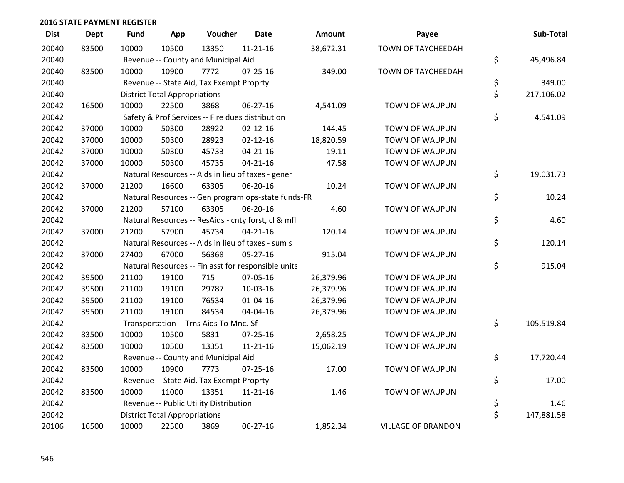| <b>Dist</b> | <b>Dept</b> | <b>Fund</b> | App                                  | Voucher                                  | <b>Date</b>                                         | <b>Amount</b> | Payee                     | Sub-Total        |
|-------------|-------------|-------------|--------------------------------------|------------------------------------------|-----------------------------------------------------|---------------|---------------------------|------------------|
| 20040       | 83500       | 10000       | 10500                                | 13350                                    | $11 - 21 - 16$                                      | 38,672.31     | <b>TOWN OF TAYCHEEDAH</b> |                  |
| 20040       |             |             |                                      | Revenue -- County and Municipal Aid      |                                                     |               |                           | \$<br>45,496.84  |
| 20040       | 83500       | 10000       | 10900                                | 7772                                     | 07-25-16                                            | 349.00        | TOWN OF TAYCHEEDAH        |                  |
| 20040       |             |             |                                      | Revenue -- State Aid, Tax Exempt Proprty |                                                     |               |                           | \$<br>349.00     |
| 20040       |             |             | <b>District Total Appropriations</b> |                                          |                                                     |               |                           | \$<br>217,106.02 |
| 20042       | 16500       | 10000       | 22500                                | 3868                                     | 06-27-16                                            | 4,541.09      | TOWN OF WAUPUN            |                  |
| 20042       |             |             |                                      |                                          | Safety & Prof Services -- Fire dues distribution    |               |                           | \$<br>4,541.09   |
| 20042       | 37000       | 10000       | 50300                                | 28922                                    | $02 - 12 - 16$                                      | 144.45        | <b>TOWN OF WAUPUN</b>     |                  |
| 20042       | 37000       | 10000       | 50300                                | 28923                                    | $02 - 12 - 16$                                      | 18,820.59     | <b>TOWN OF WAUPUN</b>     |                  |
| 20042       | 37000       | 10000       | 50300                                | 45733                                    | $04 - 21 - 16$                                      | 19.11         | <b>TOWN OF WAUPUN</b>     |                  |
| 20042       | 37000       | 10000       | 50300                                | 45735                                    | $04 - 21 - 16$                                      | 47.58         | TOWN OF WAUPUN            |                  |
| 20042       |             |             |                                      |                                          | Natural Resources -- Aids in lieu of taxes - gener  |               |                           | \$<br>19,031.73  |
| 20042       | 37000       | 21200       | 16600                                | 63305                                    | 06-20-16                                            | 10.24         | TOWN OF WAUPUN            |                  |
| 20042       |             |             |                                      |                                          | Natural Resources -- Gen program ops-state funds-FR |               |                           | \$<br>10.24      |
| 20042       | 37000       | 21200       | 57100                                | 63305                                    | 06-20-16                                            | 4.60          | <b>TOWN OF WAUPUN</b>     |                  |
| 20042       |             |             |                                      |                                          | Natural Resources -- ResAids - cnty forst, cl & mfl |               |                           | \$<br>4.60       |
| 20042       | 37000       | 21200       | 57900                                | 45734                                    | $04 - 21 - 16$                                      | 120.14        | <b>TOWN OF WAUPUN</b>     |                  |
| 20042       |             |             |                                      |                                          | Natural Resources -- Aids in lieu of taxes - sum s  |               |                           | \$<br>120.14     |
| 20042       | 37000       | 27400       | 67000                                | 56368                                    | 05-27-16                                            | 915.04        | TOWN OF WAUPUN            |                  |
| 20042       |             |             |                                      |                                          | Natural Resources -- Fin asst for responsible units |               |                           | \$<br>915.04     |
| 20042       | 39500       | 21100       | 19100                                | 715                                      | 07-05-16                                            | 26,379.96     | <b>TOWN OF WAUPUN</b>     |                  |
| 20042       | 39500       | 21100       | 19100                                | 29787                                    | 10-03-16                                            | 26,379.96     | <b>TOWN OF WAUPUN</b>     |                  |
| 20042       | 39500       | 21100       | 19100                                | 76534                                    | $01 - 04 - 16$                                      | 26,379.96     | TOWN OF WAUPUN            |                  |
| 20042       | 39500       | 21100       | 19100                                | 84534                                    | 04-04-16                                            | 26,379.96     | <b>TOWN OF WAUPUN</b>     |                  |
| 20042       |             |             |                                      | Transportation -- Trns Aids To Mnc.-Sf   |                                                     |               |                           | \$<br>105,519.84 |
| 20042       | 83500       | 10000       | 10500                                | 5831                                     | $07 - 25 - 16$                                      | 2,658.25      | <b>TOWN OF WAUPUN</b>     |                  |
| 20042       | 83500       | 10000       | 10500                                | 13351                                    | $11 - 21 - 16$                                      | 15,062.19     | TOWN OF WAUPUN            |                  |
| 20042       |             |             |                                      | Revenue -- County and Municipal Aid      |                                                     |               |                           | \$<br>17,720.44  |
| 20042       | 83500       | 10000       | 10900                                | 7773                                     | $07 - 25 - 16$                                      | 17.00         | TOWN OF WAUPUN            |                  |
| 20042       |             |             |                                      | Revenue -- State Aid, Tax Exempt Proprty |                                                     |               |                           | \$<br>17.00      |
| 20042       | 83500       | 10000       | 11000                                | 13351                                    | $11 - 21 - 16$                                      | 1.46          | <b>TOWN OF WAUPUN</b>     |                  |
| 20042       |             |             |                                      | Revenue -- Public Utility Distribution   |                                                     |               |                           | \$<br>1.46       |
| 20042       |             |             | <b>District Total Appropriations</b> |                                          |                                                     |               |                           | \$<br>147,881.58 |
| 20106       | 16500       | 10000       | 22500                                | 3869                                     | 06-27-16                                            | 1,852.34      | <b>VILLAGE OF BRANDON</b> |                  |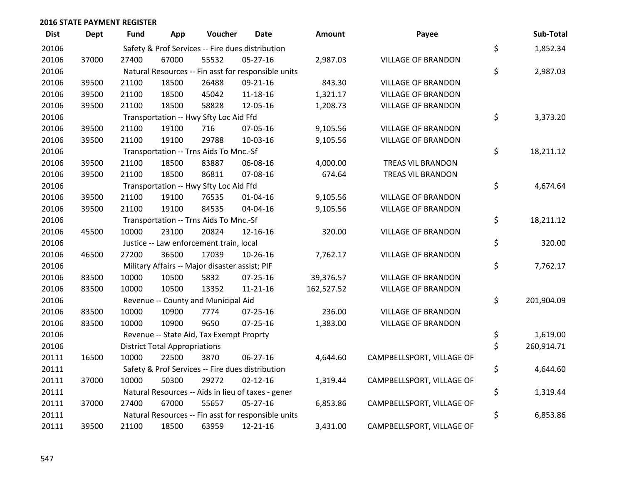| <b>Dist</b> | <b>Dept</b> | <b>Fund</b> | App                                  | Voucher                                        | <b>Date</b>                                         | <b>Amount</b> | Payee                     | Sub-Total        |
|-------------|-------------|-------------|--------------------------------------|------------------------------------------------|-----------------------------------------------------|---------------|---------------------------|------------------|
| 20106       |             |             |                                      |                                                | Safety & Prof Services -- Fire dues distribution    |               |                           | \$<br>1,852.34   |
| 20106       | 37000       | 27400       | 67000                                | 55532                                          | 05-27-16                                            | 2,987.03      | <b>VILLAGE OF BRANDON</b> |                  |
| 20106       |             |             |                                      |                                                | Natural Resources -- Fin asst for responsible units |               |                           | \$<br>2,987.03   |
| 20106       | 39500       | 21100       | 18500                                | 26488                                          | 09-21-16                                            | 843.30        | <b>VILLAGE OF BRANDON</b> |                  |
| 20106       | 39500       | 21100       | 18500                                | 45042                                          | 11-18-16                                            | 1,321.17      | <b>VILLAGE OF BRANDON</b> |                  |
| 20106       | 39500       | 21100       | 18500                                | 58828                                          | 12-05-16                                            | 1,208.73      | <b>VILLAGE OF BRANDON</b> |                  |
| 20106       |             |             |                                      | Transportation -- Hwy Sfty Loc Aid Ffd         |                                                     |               |                           | \$<br>3,373.20   |
| 20106       | 39500       | 21100       | 19100                                | 716                                            | 07-05-16                                            | 9,105.56      | <b>VILLAGE OF BRANDON</b> |                  |
| 20106       | 39500       | 21100       | 19100                                | 29788                                          | 10-03-16                                            | 9,105.56      | <b>VILLAGE OF BRANDON</b> |                  |
| 20106       |             |             |                                      | Transportation -- Trns Aids To Mnc.-Sf         |                                                     |               |                           | \$<br>18,211.12  |
| 20106       | 39500       | 21100       | 18500                                | 83887                                          | 06-08-16                                            | 4,000.00      | TREAS VIL BRANDON         |                  |
| 20106       | 39500       | 21100       | 18500                                | 86811                                          | 07-08-16                                            | 674.64        | TREAS VIL BRANDON         |                  |
| 20106       |             |             |                                      | Transportation -- Hwy Sfty Loc Aid Ffd         |                                                     |               |                           | \$<br>4,674.64   |
| 20106       | 39500       | 21100       | 19100                                | 76535                                          | $01 - 04 - 16$                                      | 9,105.56      | <b>VILLAGE OF BRANDON</b> |                  |
| 20106       | 39500       | 21100       | 19100                                | 84535                                          | 04-04-16                                            | 9,105.56      | <b>VILLAGE OF BRANDON</b> |                  |
| 20106       |             |             |                                      | Transportation -- Trns Aids To Mnc.-Sf         |                                                     |               |                           | \$<br>18,211.12  |
| 20106       | 45500       | 10000       | 23100                                | 20824                                          | 12-16-16                                            | 320.00        | <b>VILLAGE OF BRANDON</b> |                  |
| 20106       |             |             |                                      | Justice -- Law enforcement train, local        |                                                     |               |                           | \$<br>320.00     |
| 20106       | 46500       | 27200       | 36500                                | 17039                                          | 10-26-16                                            | 7,762.17      | <b>VILLAGE OF BRANDON</b> |                  |
| 20106       |             |             |                                      | Military Affairs -- Major disaster assist; PIF |                                                     |               |                           | \$<br>7,762.17   |
| 20106       | 83500       | 10000       | 10500                                | 5832                                           | $07 - 25 - 16$                                      | 39,376.57     | <b>VILLAGE OF BRANDON</b> |                  |
| 20106       | 83500       | 10000       | 10500                                | 13352                                          | $11 - 21 - 16$                                      | 162,527.52    | <b>VILLAGE OF BRANDON</b> |                  |
| 20106       |             |             |                                      | Revenue -- County and Municipal Aid            |                                                     |               |                           | \$<br>201,904.09 |
| 20106       | 83500       | 10000       | 10900                                | 7774                                           | $07 - 25 - 16$                                      | 236.00        | <b>VILLAGE OF BRANDON</b> |                  |
| 20106       | 83500       | 10000       | 10900                                | 9650                                           | 07-25-16                                            | 1,383.00      | <b>VILLAGE OF BRANDON</b> |                  |
| 20106       |             |             |                                      | Revenue -- State Aid, Tax Exempt Proprty       |                                                     |               |                           | \$<br>1,619.00   |
| 20106       |             |             | <b>District Total Appropriations</b> |                                                |                                                     |               |                           | \$<br>260,914.71 |
| 20111       | 16500       | 10000       | 22500                                | 3870                                           | $06 - 27 - 16$                                      | 4,644.60      | CAMPBELLSPORT, VILLAGE OF |                  |
| 20111       |             |             |                                      |                                                | Safety & Prof Services -- Fire dues distribution    |               |                           | \$<br>4,644.60   |
| 20111       | 37000       | 10000       | 50300                                | 29272                                          | $02 - 12 - 16$                                      | 1,319.44      | CAMPBELLSPORT, VILLAGE OF |                  |
| 20111       |             |             |                                      |                                                | Natural Resources -- Aids in lieu of taxes - gener  |               |                           | \$<br>1,319.44   |
| 20111       | 37000       | 27400       | 67000                                | 55657                                          | 05-27-16                                            | 6,853.86      | CAMPBELLSPORT, VILLAGE OF |                  |
| 20111       |             |             |                                      |                                                | Natural Resources -- Fin asst for responsible units |               |                           | \$<br>6,853.86   |
| 20111       | 39500       | 21100       | 18500                                | 63959                                          | 12-21-16                                            | 3,431.00      | CAMPBELLSPORT, VILLAGE OF |                  |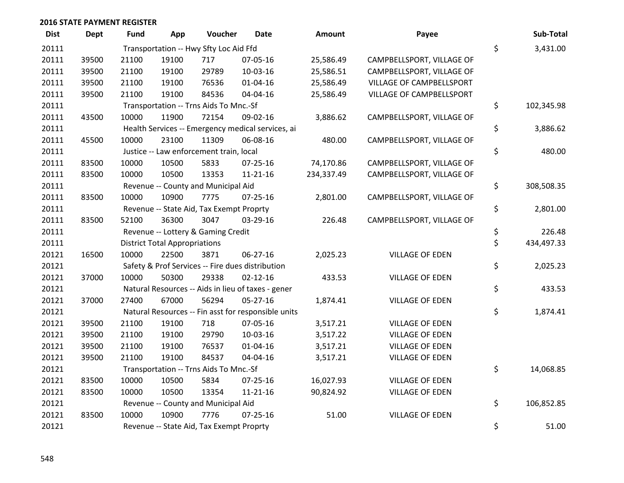| <b>Dist</b> | <b>Dept</b> | <b>Fund</b> | App                                  | Voucher                                  | <b>Date</b>                                         | <b>Amount</b> | Payee                     | Sub-Total        |
|-------------|-------------|-------------|--------------------------------------|------------------------------------------|-----------------------------------------------------|---------------|---------------------------|------------------|
| 20111       |             |             |                                      | Transportation -- Hwy Sfty Loc Aid Ffd   |                                                     |               |                           | \$<br>3,431.00   |
| 20111       | 39500       | 21100       | 19100                                | 717                                      | 07-05-16                                            | 25,586.49     | CAMPBELLSPORT, VILLAGE OF |                  |
| 20111       | 39500       | 21100       | 19100                                | 29789                                    | 10-03-16                                            | 25,586.51     | CAMPBELLSPORT, VILLAGE OF |                  |
| 20111       | 39500       | 21100       | 19100                                | 76536                                    | 01-04-16                                            | 25,586.49     | VILLAGE OF CAMPBELLSPORT  |                  |
| 20111       | 39500       | 21100       | 19100                                | 84536                                    | 04-04-16                                            | 25,586.49     | VILLAGE OF CAMPBELLSPORT  |                  |
| 20111       |             |             |                                      | Transportation -- Trns Aids To Mnc.-Sf   |                                                     |               |                           | \$<br>102,345.98 |
| 20111       | 43500       | 10000       | 11900                                | 72154                                    | 09-02-16                                            | 3,886.62      | CAMPBELLSPORT, VILLAGE OF |                  |
| 20111       |             |             |                                      |                                          | Health Services -- Emergency medical services, ai   |               |                           | \$<br>3,886.62   |
| 20111       | 45500       | 10000       | 23100                                | 11309                                    | 06-08-16                                            | 480.00        | CAMPBELLSPORT, VILLAGE OF |                  |
| 20111       |             |             |                                      | Justice -- Law enforcement train, local  |                                                     |               |                           | \$<br>480.00     |
| 20111       | 83500       | 10000       | 10500                                | 5833                                     | $07 - 25 - 16$                                      | 74,170.86     | CAMPBELLSPORT, VILLAGE OF |                  |
| 20111       | 83500       | 10000       | 10500                                | 13353                                    | $11 - 21 - 16$                                      | 234,337.49    | CAMPBELLSPORT, VILLAGE OF |                  |
| 20111       |             |             |                                      | Revenue -- County and Municipal Aid      |                                                     |               |                           | \$<br>308,508.35 |
| 20111       | 83500       | 10000       | 10900                                | 7775                                     | 07-25-16                                            | 2,801.00      | CAMPBELLSPORT, VILLAGE OF |                  |
| 20111       |             |             |                                      | Revenue -- State Aid, Tax Exempt Proprty |                                                     |               |                           | \$<br>2,801.00   |
| 20111       | 83500       | 52100       | 36300                                | 3047                                     | 03-29-16                                            | 226.48        | CAMPBELLSPORT, VILLAGE OF |                  |
| 20111       |             |             |                                      | Revenue -- Lottery & Gaming Credit       |                                                     |               |                           | \$<br>226.48     |
| 20111       |             |             | <b>District Total Appropriations</b> |                                          |                                                     |               |                           | \$<br>434,497.33 |
| 20121       | 16500       | 10000       | 22500                                | 3871                                     | 06-27-16                                            | 2,025.23      | <b>VILLAGE OF EDEN</b>    |                  |
| 20121       |             |             |                                      |                                          | Safety & Prof Services -- Fire dues distribution    |               |                           | \$<br>2,025.23   |
| 20121       | 37000       | 10000       | 50300                                | 29338                                    | $02 - 12 - 16$                                      | 433.53        | <b>VILLAGE OF EDEN</b>    |                  |
| 20121       |             |             |                                      |                                          | Natural Resources -- Aids in lieu of taxes - gener  |               |                           | \$<br>433.53     |
| 20121       | 37000       | 27400       | 67000                                | 56294                                    | 05-27-16                                            | 1,874.41      | <b>VILLAGE OF EDEN</b>    |                  |
| 20121       |             |             |                                      |                                          | Natural Resources -- Fin asst for responsible units |               |                           | \$<br>1,874.41   |
| 20121       | 39500       | 21100       | 19100                                | 718                                      | 07-05-16                                            | 3,517.21      | <b>VILLAGE OF EDEN</b>    |                  |
| 20121       | 39500       | 21100       | 19100                                | 29790                                    | 10-03-16                                            | 3,517.22      | <b>VILLAGE OF EDEN</b>    |                  |
| 20121       | 39500       | 21100       | 19100                                | 76537                                    | 01-04-16                                            | 3,517.21      | VILLAGE OF EDEN           |                  |
| 20121       | 39500       | 21100       | 19100                                | 84537                                    | 04-04-16                                            | 3,517.21      | VILLAGE OF EDEN           |                  |
| 20121       |             |             |                                      | Transportation -- Trns Aids To Mnc.-Sf   |                                                     |               |                           | \$<br>14,068.85  |
| 20121       | 83500       | 10000       | 10500                                | 5834                                     | 07-25-16                                            | 16,027.93     | <b>VILLAGE OF EDEN</b>    |                  |
| 20121       | 83500       | 10000       | 10500                                | 13354                                    | $11 - 21 - 16$                                      | 90,824.92     | VILLAGE OF EDEN           |                  |
| 20121       |             |             |                                      | Revenue -- County and Municipal Aid      |                                                     |               |                           | \$<br>106,852.85 |
| 20121       | 83500       | 10000       | 10900                                | 7776                                     | $07 - 25 - 16$                                      | 51.00         | <b>VILLAGE OF EDEN</b>    |                  |
| 20121       |             |             |                                      | Revenue -- State Aid, Tax Exempt Proprty |                                                     |               |                           | \$<br>51.00      |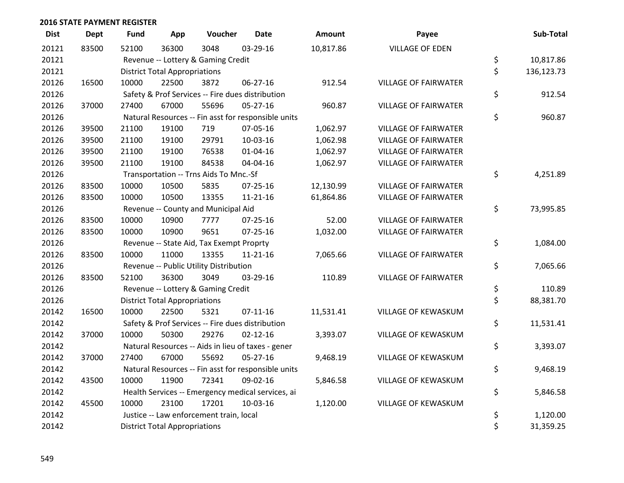| <b>Dist</b> | <b>Dept</b> | <b>Fund</b> | App                                  | Voucher                                  | <b>Date</b>                                         | Amount    | Payee                       | Sub-Total        |
|-------------|-------------|-------------|--------------------------------------|------------------------------------------|-----------------------------------------------------|-----------|-----------------------------|------------------|
| 20121       | 83500       | 52100       | 36300                                | 3048                                     | 03-29-16                                            | 10,817.86 | <b>VILLAGE OF EDEN</b>      |                  |
| 20121       |             |             |                                      | Revenue -- Lottery & Gaming Credit       |                                                     |           |                             | \$<br>10,817.86  |
| 20121       |             |             | <b>District Total Appropriations</b> |                                          |                                                     |           |                             | \$<br>136,123.73 |
| 20126       | 16500       | 10000       | 22500                                | 3872                                     | 06-27-16                                            | 912.54    | <b>VILLAGE OF FAIRWATER</b> |                  |
| 20126       |             |             |                                      |                                          | Safety & Prof Services -- Fire dues distribution    |           |                             | \$<br>912.54     |
| 20126       | 37000       | 27400       | 67000                                | 55696                                    | $05 - 27 - 16$                                      | 960.87    | <b>VILLAGE OF FAIRWATER</b> |                  |
| 20126       |             |             |                                      |                                          | Natural Resources -- Fin asst for responsible units |           |                             | \$<br>960.87     |
| 20126       | 39500       | 21100       | 19100                                | 719                                      | 07-05-16                                            | 1,062.97  | <b>VILLAGE OF FAIRWATER</b> |                  |
| 20126       | 39500       | 21100       | 19100                                | 29791                                    | 10-03-16                                            | 1,062.98  | <b>VILLAGE OF FAIRWATER</b> |                  |
| 20126       | 39500       | 21100       | 19100                                | 76538                                    | $01 - 04 - 16$                                      | 1,062.97  | <b>VILLAGE OF FAIRWATER</b> |                  |
| 20126       | 39500       | 21100       | 19100                                | 84538                                    | 04-04-16                                            | 1,062.97  | <b>VILLAGE OF FAIRWATER</b> |                  |
| 20126       |             |             |                                      | Transportation -- Trns Aids To Mnc.-Sf   |                                                     |           |                             | \$<br>4,251.89   |
| 20126       | 83500       | 10000       | 10500                                | 5835                                     | 07-25-16                                            | 12,130.99 | <b>VILLAGE OF FAIRWATER</b> |                  |
| 20126       | 83500       | 10000       | 10500                                | 13355                                    | $11 - 21 - 16$                                      | 61,864.86 | <b>VILLAGE OF FAIRWATER</b> |                  |
| 20126       |             |             |                                      | Revenue -- County and Municipal Aid      |                                                     |           |                             | \$<br>73,995.85  |
| 20126       | 83500       | 10000       | 10900                                | 7777                                     | 07-25-16                                            | 52.00     | <b>VILLAGE OF FAIRWATER</b> |                  |
| 20126       | 83500       | 10000       | 10900                                | 9651                                     | $07 - 25 - 16$                                      | 1,032.00  | <b>VILLAGE OF FAIRWATER</b> |                  |
| 20126       |             |             |                                      | Revenue -- State Aid, Tax Exempt Proprty |                                                     |           |                             | \$<br>1,084.00   |
| 20126       | 83500       | 10000       | 11000                                | 13355                                    | $11 - 21 - 16$                                      | 7,065.66  | <b>VILLAGE OF FAIRWATER</b> |                  |
| 20126       |             |             |                                      | Revenue -- Public Utility Distribution   |                                                     |           |                             | \$<br>7,065.66   |
| 20126       | 83500       | 52100       | 36300                                | 3049                                     | 03-29-16                                            | 110.89    | <b>VILLAGE OF FAIRWATER</b> |                  |
| 20126       |             |             |                                      | Revenue -- Lottery & Gaming Credit       |                                                     |           |                             | \$<br>110.89     |
| 20126       |             |             | <b>District Total Appropriations</b> |                                          |                                                     |           |                             | \$<br>88,381.70  |
| 20142       | 16500       | 10000       | 22500                                | 5321                                     | $07 - 11 - 16$                                      | 11,531.41 | VILLAGE OF KEWASKUM         |                  |
| 20142       |             |             |                                      |                                          | Safety & Prof Services -- Fire dues distribution    |           |                             | \$<br>11,531.41  |
| 20142       | 37000       | 10000       | 50300                                | 29276                                    | $02 - 12 - 16$                                      | 3,393.07  | VILLAGE OF KEWASKUM         |                  |
| 20142       |             |             |                                      |                                          | Natural Resources -- Aids in lieu of taxes - gener  |           |                             | \$<br>3,393.07   |
| 20142       | 37000       | 27400       | 67000                                | 55692                                    | $05 - 27 - 16$                                      | 9,468.19  | VILLAGE OF KEWASKUM         |                  |
| 20142       |             |             |                                      |                                          | Natural Resources -- Fin asst for responsible units |           |                             | \$<br>9,468.19   |
| 20142       | 43500       | 10000       | 11900                                | 72341                                    | 09-02-16                                            | 5,846.58  | VILLAGE OF KEWASKUM         |                  |
| 20142       |             |             |                                      |                                          | Health Services -- Emergency medical services, ai   |           |                             | \$<br>5,846.58   |
| 20142       | 45500       | 10000       | 23100                                | 17201                                    | 10-03-16                                            | 1,120.00  | <b>VILLAGE OF KEWASKUM</b>  |                  |
| 20142       |             |             |                                      | Justice -- Law enforcement train, local  |                                                     |           |                             | \$<br>1,120.00   |
| 20142       |             |             | <b>District Total Appropriations</b> |                                          |                                                     |           |                             | \$<br>31,359.25  |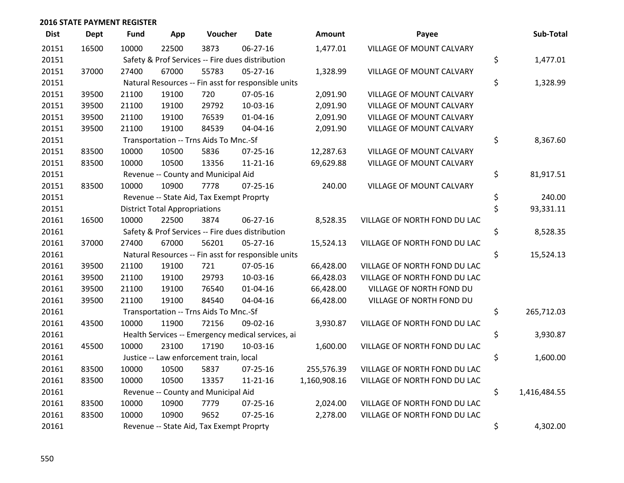| <b>Dist</b> | <b>Dept</b> | <b>Fund</b> | App                                  | Voucher                                  | <b>Date</b>                                         | Amount       | Payee                        | Sub-Total          |
|-------------|-------------|-------------|--------------------------------------|------------------------------------------|-----------------------------------------------------|--------------|------------------------------|--------------------|
| 20151       | 16500       | 10000       | 22500                                | 3873                                     | 06-27-16                                            | 1,477.01     | VILLAGE OF MOUNT CALVARY     |                    |
| 20151       |             |             |                                      |                                          | Safety & Prof Services -- Fire dues distribution    |              |                              | \$<br>1,477.01     |
| 20151       | 37000       | 27400       | 67000                                | 55783                                    | $05 - 27 - 16$                                      | 1,328.99     | VILLAGE OF MOUNT CALVARY     |                    |
| 20151       |             |             |                                      |                                          | Natural Resources -- Fin asst for responsible units |              |                              | \$<br>1,328.99     |
| 20151       | 39500       | 21100       | 19100                                | 720                                      | 07-05-16                                            | 2,091.90     | VILLAGE OF MOUNT CALVARY     |                    |
| 20151       | 39500       | 21100       | 19100                                | 29792                                    | 10-03-16                                            | 2,091.90     | VILLAGE OF MOUNT CALVARY     |                    |
| 20151       | 39500       | 21100       | 19100                                | 76539                                    | $01 - 04 - 16$                                      | 2,091.90     | VILLAGE OF MOUNT CALVARY     |                    |
| 20151       | 39500       | 21100       | 19100                                | 84539                                    | 04-04-16                                            | 2,091.90     | VILLAGE OF MOUNT CALVARY     |                    |
| 20151       |             |             |                                      | Transportation -- Trns Aids To Mnc.-Sf   |                                                     |              |                              | \$<br>8,367.60     |
| 20151       | 83500       | 10000       | 10500                                | 5836                                     | $07 - 25 - 16$                                      | 12,287.63    | VILLAGE OF MOUNT CALVARY     |                    |
| 20151       | 83500       | 10000       | 10500                                | 13356                                    | $11 - 21 - 16$                                      | 69,629.88    | VILLAGE OF MOUNT CALVARY     |                    |
| 20151       |             |             |                                      | Revenue -- County and Municipal Aid      |                                                     |              |                              | \$<br>81,917.51    |
| 20151       | 83500       | 10000       | 10900                                | 7778                                     | $07 - 25 - 16$                                      | 240.00       | VILLAGE OF MOUNT CALVARY     |                    |
| 20151       |             |             |                                      | Revenue -- State Aid, Tax Exempt Proprty |                                                     |              |                              | \$<br>240.00       |
| 20151       |             |             | <b>District Total Appropriations</b> |                                          |                                                     |              |                              | \$<br>93,331.11    |
| 20161       | 16500       | 10000       | 22500                                | 3874                                     | 06-27-16                                            | 8,528.35     | VILLAGE OF NORTH FOND DU LAC |                    |
| 20161       |             |             |                                      |                                          | Safety & Prof Services -- Fire dues distribution    |              |                              | \$<br>8,528.35     |
| 20161       | 37000       | 27400       | 67000                                | 56201                                    | $05 - 27 - 16$                                      | 15,524.13    | VILLAGE OF NORTH FOND DU LAC |                    |
| 20161       |             |             |                                      |                                          | Natural Resources -- Fin asst for responsible units |              |                              | \$<br>15,524.13    |
| 20161       | 39500       | 21100       | 19100                                | 721                                      | 07-05-16                                            | 66,428.00    | VILLAGE OF NORTH FOND DU LAC |                    |
| 20161       | 39500       | 21100       | 19100                                | 29793                                    | 10-03-16                                            | 66,428.03    | VILLAGE OF NORTH FOND DU LAC |                    |
| 20161       | 39500       | 21100       | 19100                                | 76540                                    | $01 - 04 - 16$                                      | 66,428.00    | VILLAGE OF NORTH FOND DU     |                    |
| 20161       | 39500       | 21100       | 19100                                | 84540                                    | 04-04-16                                            | 66,428.00    | VILLAGE OF NORTH FOND DU     |                    |
| 20161       |             |             |                                      | Transportation -- Trns Aids To Mnc.-Sf   |                                                     |              |                              | \$<br>265,712.03   |
| 20161       | 43500       | 10000       | 11900                                | 72156                                    | 09-02-16                                            | 3,930.87     | VILLAGE OF NORTH FOND DU LAC |                    |
| 20161       |             |             |                                      |                                          | Health Services -- Emergency medical services, ai   |              |                              | \$<br>3,930.87     |
| 20161       | 45500       | 10000       | 23100                                | 17190                                    | 10-03-16                                            | 1,600.00     | VILLAGE OF NORTH FOND DU LAC |                    |
| 20161       |             |             |                                      | Justice -- Law enforcement train, local  |                                                     |              |                              | \$<br>1,600.00     |
| 20161       | 83500       | 10000       | 10500                                | 5837                                     | 07-25-16                                            | 255,576.39   | VILLAGE OF NORTH FOND DU LAC |                    |
| 20161       | 83500       | 10000       | 10500                                | 13357                                    | $11 - 21 - 16$                                      | 1,160,908.16 | VILLAGE OF NORTH FOND DU LAC |                    |
| 20161       |             |             |                                      | Revenue -- County and Municipal Aid      |                                                     |              |                              | \$<br>1,416,484.55 |
| 20161       | 83500       | 10000       | 10900                                | 7779                                     | 07-25-16                                            | 2,024.00     | VILLAGE OF NORTH FOND DU LAC |                    |
| 20161       | 83500       | 10000       | 10900                                | 9652                                     | $07 - 25 - 16$                                      | 2,278.00     | VILLAGE OF NORTH FOND DU LAC |                    |
| 20161       |             |             |                                      | Revenue -- State Aid, Tax Exempt Proprty |                                                     |              |                              | \$<br>4,302.00     |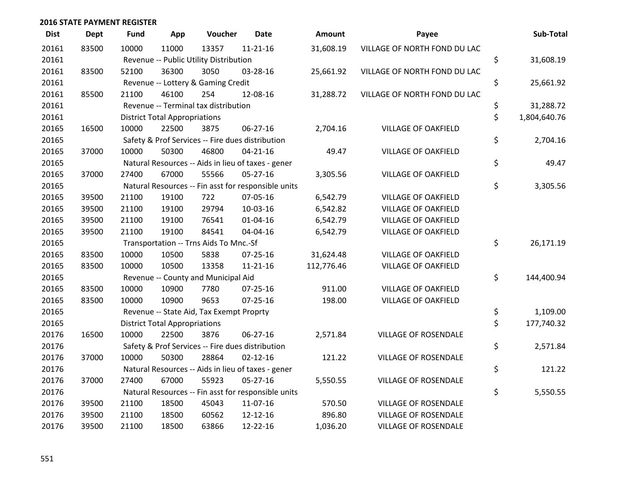| <b>Dist</b> | <b>Dept</b> | <b>Fund</b> | App                                  | Voucher                                  | <b>Date</b>                                         | Amount     | Payee                        | Sub-Total          |
|-------------|-------------|-------------|--------------------------------------|------------------------------------------|-----------------------------------------------------|------------|------------------------------|--------------------|
| 20161       | 83500       | 10000       | 11000                                | 13357                                    | $11 - 21 - 16$                                      | 31,608.19  | VILLAGE OF NORTH FOND DU LAC |                    |
| 20161       |             |             |                                      | Revenue -- Public Utility Distribution   |                                                     |            |                              | \$<br>31,608.19    |
| 20161       | 83500       | 52100       | 36300                                | 3050                                     | 03-28-16                                            | 25,661.92  | VILLAGE OF NORTH FOND DU LAC |                    |
| 20161       |             |             |                                      | Revenue -- Lottery & Gaming Credit       |                                                     |            |                              | \$<br>25,661.92    |
| 20161       | 85500       | 21100       | 46100                                | 254                                      | 12-08-16                                            | 31,288.72  | VILLAGE OF NORTH FOND DU LAC |                    |
| 20161       |             |             |                                      | Revenue -- Terminal tax distribution     |                                                     |            |                              | \$<br>31,288.72    |
| 20161       |             |             | <b>District Total Appropriations</b> |                                          |                                                     |            |                              | \$<br>1,804,640.76 |
| 20165       | 16500       | 10000       | 22500                                | 3875                                     | $06 - 27 - 16$                                      | 2,704.16   | <b>VILLAGE OF OAKFIELD</b>   |                    |
| 20165       |             |             |                                      |                                          | Safety & Prof Services -- Fire dues distribution    |            |                              | \$<br>2,704.16     |
| 20165       | 37000       | 10000       | 50300                                | 46800                                    | $04 - 21 - 16$                                      | 49.47      | <b>VILLAGE OF OAKFIELD</b>   |                    |
| 20165       |             |             |                                      |                                          | Natural Resources -- Aids in lieu of taxes - gener  |            |                              | \$<br>49.47        |
| 20165       | 37000       | 27400       | 67000                                | 55566                                    | $05 - 27 - 16$                                      | 3,305.56   | <b>VILLAGE OF OAKFIELD</b>   |                    |
| 20165       |             |             |                                      |                                          | Natural Resources -- Fin asst for responsible units |            |                              | \$<br>3,305.56     |
| 20165       | 39500       | 21100       | 19100                                | 722                                      | 07-05-16                                            | 6,542.79   | <b>VILLAGE OF OAKFIELD</b>   |                    |
| 20165       | 39500       | 21100       | 19100                                | 29794                                    | 10-03-16                                            | 6,542.82   | <b>VILLAGE OF OAKFIELD</b>   |                    |
| 20165       | 39500       | 21100       | 19100                                | 76541                                    | $01 - 04 - 16$                                      | 6,542.79   | <b>VILLAGE OF OAKFIELD</b>   |                    |
| 20165       | 39500       | 21100       | 19100                                | 84541                                    | 04-04-16                                            | 6,542.79   | <b>VILLAGE OF OAKFIELD</b>   |                    |
| 20165       |             |             |                                      | Transportation -- Trns Aids To Mnc.-Sf   |                                                     |            |                              | \$<br>26,171.19    |
| 20165       | 83500       | 10000       | 10500                                | 5838                                     | 07-25-16                                            | 31,624.48  | <b>VILLAGE OF OAKFIELD</b>   |                    |
| 20165       | 83500       | 10000       | 10500                                | 13358                                    | 11-21-16                                            | 112,776.46 | <b>VILLAGE OF OAKFIELD</b>   |                    |
| 20165       |             |             |                                      | Revenue -- County and Municipal Aid      |                                                     |            |                              | \$<br>144,400.94   |
| 20165       | 83500       | 10000       | 10900                                | 7780                                     | 07-25-16                                            | 911.00     | <b>VILLAGE OF OAKFIELD</b>   |                    |
| 20165       | 83500       | 10000       | 10900                                | 9653                                     | $07 - 25 - 16$                                      | 198.00     | <b>VILLAGE OF OAKFIELD</b>   |                    |
| 20165       |             |             |                                      | Revenue -- State Aid, Tax Exempt Proprty |                                                     |            |                              | \$<br>1,109.00     |
| 20165       |             |             | <b>District Total Appropriations</b> |                                          |                                                     |            |                              | \$<br>177,740.32   |
| 20176       | 16500       | 10000       | 22500                                | 3876                                     | $06 - 27 - 16$                                      | 2,571.84   | <b>VILLAGE OF ROSENDALE</b>  |                    |
| 20176       |             |             |                                      |                                          | Safety & Prof Services -- Fire dues distribution    |            |                              | \$<br>2,571.84     |
| 20176       | 37000       | 10000       | 50300                                | 28864                                    | $02 - 12 - 16$                                      | 121.22     | <b>VILLAGE OF ROSENDALE</b>  |                    |
| 20176       |             |             |                                      |                                          | Natural Resources -- Aids in lieu of taxes - gener  |            |                              | \$<br>121.22       |
| 20176       | 37000       | 27400       | 67000                                | 55923                                    | $05 - 27 - 16$                                      | 5,550.55   | <b>VILLAGE OF ROSENDALE</b>  |                    |
| 20176       |             |             |                                      |                                          | Natural Resources -- Fin asst for responsible units |            |                              | \$<br>5,550.55     |
| 20176       | 39500       | 21100       | 18500                                | 45043                                    | 11-07-16                                            | 570.50     | <b>VILLAGE OF ROSENDALE</b>  |                    |
| 20176       | 39500       | 21100       | 18500                                | 60562                                    | 12-12-16                                            | 896.80     | <b>VILLAGE OF ROSENDALE</b>  |                    |
| 20176       | 39500       | 21100       | 18500                                | 63866                                    | 12-22-16                                            | 1,036.20   | <b>VILLAGE OF ROSENDALE</b>  |                    |

| <b>GE OF NORTH FOND DU LAC</b>                           |          |                           |
|----------------------------------------------------------|----------|---------------------------|
| <b>GE OF NORTH FOND DU LAC</b>                           | \$       | 31,608.19                 |
|                                                          | \$       | 25,661.92                 |
| GE OF NORTH FOND DU LAC                                  |          |                           |
|                                                          | \$<br>\$ | 31,288.72<br>1,804,640.76 |
| <b>VILLAGE OF OAKFIELD</b>                               |          |                           |
|                                                          | \$       | 2,704.16                  |
| <b>VILLAGE OF OAKFIELD</b>                               | \$       | 49.47                     |
| <b>VILLAGE OF OAKFIELD</b>                               |          |                           |
|                                                          | \$       | 3,305.56                  |
| <b>VILLAGE OF OAKFIELD</b>                               |          |                           |
| <b>VILLAGE OF OAKFIELD</b>                               |          |                           |
| <b>VILLAGE OF OAKFIELD</b><br><b>VILLAGE OF OAKFIELD</b> |          |                           |
|                                                          | \$       | 26,171.19                 |
| <b>VILLAGE OF OAKFIELD</b>                               |          |                           |
| <b>VILLAGE OF OAKFIELD</b>                               |          |                           |
|                                                          | \$       | 144,400.94                |
| <b>VILLAGE OF OAKFIELD</b><br><b>VILLAGE OF OAKFIELD</b> |          |                           |
|                                                          | \$       | 1,109.00                  |
|                                                          | \$       | 177,740.32                |
| <b>ILLAGE OF ROSENDALE</b>                               |          |                           |
| <b>ILLAGE OF ROSENDALE</b>                               | \$       | 2,571.84                  |
|                                                          | \$       | 121.22                    |
| <b>ILLAGE OF ROSENDALE</b>                               |          |                           |
|                                                          | \$       | 5,550.55                  |
| <b>ILLAGE OF ROSENDALE</b>                               |          |                           |
| <b>ILLAGE OF ROSENDALE</b>                               |          |                           |
| <b>ILLAGE OF ROSENDALE</b>                               |          |                           |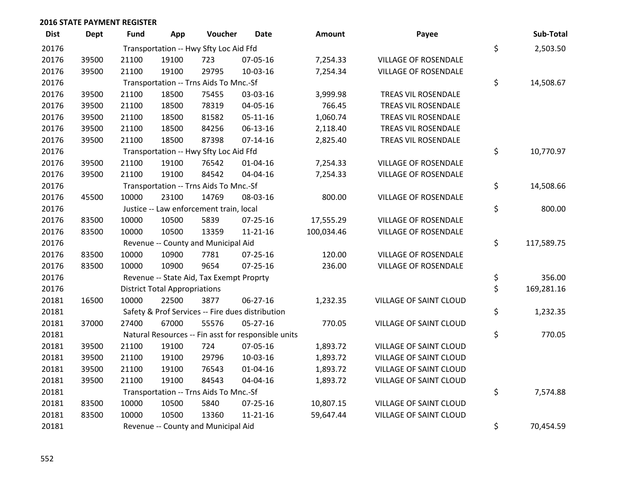| <b>Dist</b> | <b>Dept</b> | Fund  | App                                  | Voucher                                  | <b>Date</b>                                         | Amount     | Payee                         | Sub-Total        |
|-------------|-------------|-------|--------------------------------------|------------------------------------------|-----------------------------------------------------|------------|-------------------------------|------------------|
| 20176       |             |       |                                      | Transportation -- Hwy Sfty Loc Aid Ffd   |                                                     |            |                               | \$<br>2,503.50   |
| 20176       | 39500       | 21100 | 19100                                | 723                                      | 07-05-16                                            | 7,254.33   | <b>VILLAGE OF ROSENDALE</b>   |                  |
| 20176       | 39500       | 21100 | 19100                                | 29795                                    | 10-03-16                                            | 7,254.34   | <b>VILLAGE OF ROSENDALE</b>   |                  |
| 20176       |             |       |                                      | Transportation -- Trns Aids To Mnc.-Sf   |                                                     |            |                               | \$<br>14,508.67  |
| 20176       | 39500       | 21100 | 18500                                | 75455                                    | 03-03-16                                            | 3,999.98   | TREAS VIL ROSENDALE           |                  |
| 20176       | 39500       | 21100 | 18500                                | 78319                                    | 04-05-16                                            | 766.45     | TREAS VIL ROSENDALE           |                  |
| 20176       | 39500       | 21100 | 18500                                | 81582                                    | $05-11-16$                                          | 1,060.74   | TREAS VIL ROSENDALE           |                  |
| 20176       | 39500       | 21100 | 18500                                | 84256                                    | $06-13-16$                                          | 2,118.40   | TREAS VIL ROSENDALE           |                  |
| 20176       | 39500       | 21100 | 18500                                | 87398                                    | $07 - 14 - 16$                                      | 2,825.40   | TREAS VIL ROSENDALE           |                  |
| 20176       |             |       |                                      | Transportation -- Hwy Sfty Loc Aid Ffd   |                                                     |            |                               | \$<br>10,770.97  |
| 20176       | 39500       | 21100 | 19100                                | 76542                                    | $01 - 04 - 16$                                      | 7,254.33   | <b>VILLAGE OF ROSENDALE</b>   |                  |
| 20176       | 39500       | 21100 | 19100                                | 84542                                    | 04-04-16                                            | 7,254.33   | <b>VILLAGE OF ROSENDALE</b>   |                  |
| 20176       |             |       |                                      | Transportation -- Trns Aids To Mnc.-Sf   |                                                     |            |                               | \$<br>14,508.66  |
| 20176       | 45500       | 10000 | 23100                                | 14769                                    | 08-03-16                                            | 800.00     | <b>VILLAGE OF ROSENDALE</b>   |                  |
| 20176       |             |       |                                      | Justice -- Law enforcement train, local  |                                                     |            |                               | \$<br>800.00     |
| 20176       | 83500       | 10000 | 10500                                | 5839                                     | 07-25-16                                            | 17,555.29  | VILLAGE OF ROSENDALE          |                  |
| 20176       | 83500       | 10000 | 10500                                | 13359                                    | $11 - 21 - 16$                                      | 100,034.46 | VILLAGE OF ROSENDALE          |                  |
| 20176       |             |       |                                      | Revenue -- County and Municipal Aid      |                                                     |            |                               | \$<br>117,589.75 |
| 20176       | 83500       | 10000 | 10900                                | 7781                                     | $07 - 25 - 16$                                      | 120.00     | <b>VILLAGE OF ROSENDALE</b>   |                  |
| 20176       | 83500       | 10000 | 10900                                | 9654                                     | $07 - 25 - 16$                                      | 236.00     | VILLAGE OF ROSENDALE          |                  |
| 20176       |             |       |                                      | Revenue -- State Aid, Tax Exempt Proprty |                                                     |            |                               | \$<br>356.00     |
| 20176       |             |       | <b>District Total Appropriations</b> |                                          |                                                     |            |                               | \$<br>169,281.16 |
| 20181       | 16500       | 10000 | 22500                                | 3877                                     | 06-27-16                                            | 1,232.35   | VILLAGE OF SAINT CLOUD        |                  |
| 20181       |             |       |                                      |                                          | Safety & Prof Services -- Fire dues distribution    |            |                               | \$<br>1,232.35   |
| 20181       | 37000       | 27400 | 67000                                | 55576                                    | $05 - 27 - 16$                                      | 770.05     | VILLAGE OF SAINT CLOUD        |                  |
| 20181       |             |       |                                      |                                          | Natural Resources -- Fin asst for responsible units |            |                               | \$<br>770.05     |
| 20181       | 39500       | 21100 | 19100                                | 724                                      | 07-05-16                                            | 1,893.72   | VILLAGE OF SAINT CLOUD        |                  |
| 20181       | 39500       | 21100 | 19100                                | 29796                                    | 10-03-16                                            | 1,893.72   | VILLAGE OF SAINT CLOUD        |                  |
| 20181       | 39500       | 21100 | 19100                                | 76543                                    | $01 - 04 - 16$                                      | 1,893.72   | <b>VILLAGE OF SAINT CLOUD</b> |                  |
| 20181       | 39500       | 21100 | 19100                                | 84543                                    | 04-04-16                                            | 1,893.72   | VILLAGE OF SAINT CLOUD        |                  |
| 20181       |             |       |                                      | Transportation -- Trns Aids To Mnc.-Sf   |                                                     |            |                               | \$<br>7,574.88   |
| 20181       | 83500       | 10000 | 10500                                | 5840                                     | $07 - 25 - 16$                                      | 10,807.15  | <b>VILLAGE OF SAINT CLOUD</b> |                  |
| 20181       | 83500       | 10000 | 10500                                | 13360                                    | $11 - 21 - 16$                                      | 59,647.44  | VILLAGE OF SAINT CLOUD        |                  |
| 20181       |             |       |                                      | Revenue -- County and Municipal Aid      |                                                     |            |                               | \$<br>70,454.59  |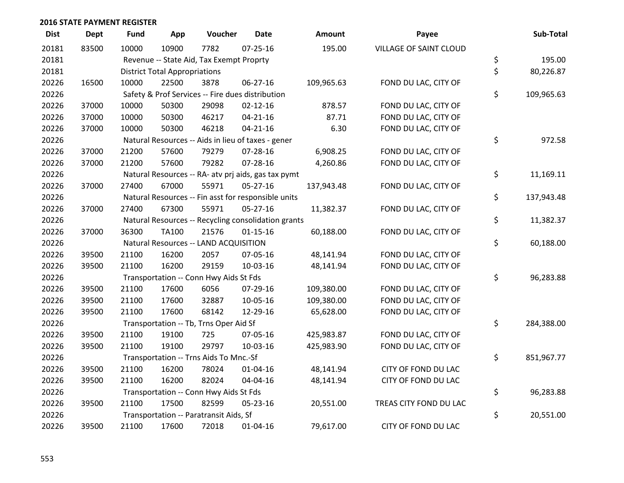| <b>Dist</b> | <b>Dept</b> | <b>Fund</b> | App                                  | Voucher                                             | <b>Date</b>    | <b>Amount</b> | Payee                         | Sub-Total        |
|-------------|-------------|-------------|--------------------------------------|-----------------------------------------------------|----------------|---------------|-------------------------------|------------------|
| 20181       | 83500       | 10000       | 10900                                | 7782                                                | $07 - 25 - 16$ | 195.00        | <b>VILLAGE OF SAINT CLOUD</b> |                  |
| 20181       |             |             |                                      | Revenue -- State Aid, Tax Exempt Proprty            |                |               |                               | \$<br>195.00     |
| 20181       |             |             | <b>District Total Appropriations</b> |                                                     |                |               |                               | \$<br>80,226.87  |
| 20226       | 16500       | 10000       | 22500                                | 3878                                                | 06-27-16       | 109,965.63    | FOND DU LAC, CITY OF          |                  |
| 20226       |             |             |                                      | Safety & Prof Services -- Fire dues distribution    |                |               |                               | \$<br>109,965.63 |
| 20226       | 37000       | 10000       | 50300                                | 29098                                               | $02 - 12 - 16$ | 878.57        | FOND DU LAC, CITY OF          |                  |
| 20226       | 37000       | 10000       | 50300                                | 46217                                               | $04 - 21 - 16$ | 87.71         | FOND DU LAC, CITY OF          |                  |
| 20226       | 37000       | 10000       | 50300                                | 46218                                               | $04 - 21 - 16$ | 6.30          | FOND DU LAC, CITY OF          |                  |
| 20226       |             |             |                                      | Natural Resources -- Aids in lieu of taxes - gener  |                |               |                               | \$<br>972.58     |
| 20226       | 37000       | 21200       | 57600                                | 79279                                               | 07-28-16       | 6,908.25      | FOND DU LAC, CITY OF          |                  |
| 20226       | 37000       | 21200       | 57600                                | 79282                                               | 07-28-16       | 4,260.86      | FOND DU LAC, CITY OF          |                  |
| 20226       |             |             |                                      | Natural Resources -- RA- atv prj aids, gas tax pymt |                |               |                               | \$<br>11,169.11  |
| 20226       | 37000       | 27400       | 67000                                | 55971                                               | $05 - 27 - 16$ | 137,943.48    | FOND DU LAC, CITY OF          |                  |
| 20226       |             |             |                                      | Natural Resources -- Fin asst for responsible units |                |               |                               | \$<br>137,943.48 |
| 20226       | 37000       | 27400       | 67300                                | 55971                                               | $05 - 27 - 16$ | 11,382.37     | FOND DU LAC, CITY OF          |                  |
| 20226       |             |             |                                      | Natural Resources -- Recycling consolidation grants |                |               |                               | \$<br>11,382.37  |
| 20226       | 37000       | 36300       | <b>TA100</b>                         | 21576                                               | $01 - 15 - 16$ | 60,188.00     | FOND DU LAC, CITY OF          |                  |
| 20226       |             |             |                                      | Natural Resources -- LAND ACQUISITION               |                |               |                               | \$<br>60,188.00  |
| 20226       | 39500       | 21100       | 16200                                | 2057                                                | 07-05-16       | 48,141.94     | FOND DU LAC, CITY OF          |                  |
| 20226       | 39500       | 21100       | 16200                                | 29159                                               | 10-03-16       | 48,141.94     | FOND DU LAC, CITY OF          |                  |
| 20226       |             |             |                                      | Transportation -- Conn Hwy Aids St Fds              |                |               |                               | \$<br>96,283.88  |
| 20226       | 39500       | 21100       | 17600                                | 6056                                                | 07-29-16       | 109,380.00    | FOND DU LAC, CITY OF          |                  |
| 20226       | 39500       | 21100       | 17600                                | 32887                                               | 10-05-16       | 109,380.00    | FOND DU LAC, CITY OF          |                  |
| 20226       | 39500       | 21100       | 17600                                | 68142                                               | 12-29-16       | 65,628.00     | FOND DU LAC, CITY OF          |                  |
| 20226       |             |             |                                      | Transportation -- Tb, Trns Oper Aid Sf              |                |               |                               | \$<br>284,388.00 |
| 20226       | 39500       | 21100       | 19100                                | 725                                                 | 07-05-16       | 425,983.87    | FOND DU LAC, CITY OF          |                  |
| 20226       | 39500       | 21100       | 19100                                | 29797                                               | 10-03-16       | 425,983.90    | FOND DU LAC, CITY OF          |                  |
| 20226       |             |             |                                      | Transportation -- Trns Aids To Mnc.-Sf              |                |               |                               | \$<br>851,967.77 |
| 20226       | 39500       | 21100       | 16200                                | 78024                                               | $01 - 04 - 16$ | 48,141.94     | CITY OF FOND DU LAC           |                  |
| 20226       | 39500       | 21100       | 16200                                | 82024                                               | 04-04-16       | 48,141.94     | CITY OF FOND DU LAC           |                  |
| 20226       |             |             |                                      | Transportation -- Conn Hwy Aids St Fds              |                |               |                               | \$<br>96,283.88  |
| 20226       | 39500       | 21100       | 17500                                | 82599                                               | 05-23-16       | 20,551.00     | TREAS CITY FOND DU LAC        |                  |
| 20226       |             |             |                                      | Transportation -- Paratransit Aids, Sf              |                |               |                               | \$<br>20,551.00  |
| 20226       | 39500       | 21100       | 17600                                | 72018                                               | $01 - 04 - 16$ | 79,617.00     | CITY OF FOND DU LAC           |                  |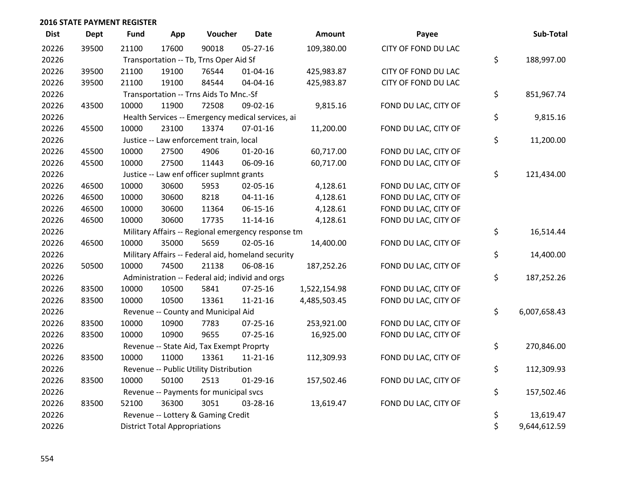| <b>Dist</b> | <b>Dept</b> | <b>Fund</b> | App                                  | Voucher                                            | <b>Date</b>    | Amount             | Payee                | Sub-Total          |
|-------------|-------------|-------------|--------------------------------------|----------------------------------------------------|----------------|--------------------|----------------------|--------------------|
| 20226       | 39500       | 21100       | 17600                                | 90018                                              | $05-27-16$     | 109,380.00         | CITY OF FOND DU LAC  |                    |
| 20226       |             |             |                                      | Transportation -- Tb, Trns Oper Aid Sf             |                |                    |                      | \$<br>188,997.00   |
| 20226       | 39500       | 21100       | 19100                                | 76544                                              | 01-04-16       | 425,983.87         | CITY OF FOND DU LAC  |                    |
| 20226       | 39500       | 21100       | 19100                                | 84544                                              | 04-04-16       | 425,983.87         | CITY OF FOND DU LAC  |                    |
| 20226       |             |             |                                      | Transportation -- Trns Aids To Mnc.-Sf             |                |                    |                      | \$<br>851,967.74   |
| 20226       | 43500       | 10000       | 11900                                | 72508                                              | 09-02-16       | 9,815.16           | FOND DU LAC, CITY OF |                    |
| 20226       |             |             |                                      | Health Services -- Emergency medical services, ai  |                |                    |                      | \$<br>9,815.16     |
| 20226       | 45500       | 10000       | 23100                                | 13374                                              | $07 - 01 - 16$ | 11,200.00          | FOND DU LAC, CITY OF |                    |
| 20226       |             |             |                                      | Justice -- Law enforcement train, local            |                |                    |                      | \$<br>11,200.00    |
| 20226       | 45500       | 10000       | 27500                                | 4906                                               | $01 - 20 - 16$ | 60,717.00          | FOND DU LAC, CITY OF |                    |
| 20226       | 45500       | 10000       | 27500                                | 11443                                              | 06-09-16       | 60,717.00          | FOND DU LAC, CITY OF |                    |
| 20226       |             |             |                                      | Justice -- Law enf officer suplmnt grants          |                |                    |                      | \$<br>121,434.00   |
| 20226       | 46500       | 10000       | 30600                                | 5953                                               | 02-05-16       | 4,128.61           | FOND DU LAC, CITY OF |                    |
| 20226       | 46500       | 10000       | 30600                                | 8218                                               | $04 - 11 - 16$ | 4,128.61           | FOND DU LAC, CITY OF |                    |
| 20226       | 46500       | 10000       | 30600                                | 11364                                              | $06 - 15 - 16$ | 4,128.61           | FOND DU LAC, CITY OF |                    |
| 20226       | 46500       | 10000       | 30600                                | 17735                                              | $11 - 14 - 16$ | 4,128.61           | FOND DU LAC, CITY OF |                    |
| 20226       |             |             |                                      | Military Affairs -- Regional emergency response tm |                |                    |                      | \$<br>16,514.44    |
| 20226       | 46500       | 10000       | 35000                                | 5659                                               | 02-05-16       | 14,400.00          | FOND DU LAC, CITY OF |                    |
| 20226       |             |             |                                      | Military Affairs -- Federal aid, homeland security |                |                    |                      | \$<br>14,400.00    |
| 20226       | 50500       | 10000       | 74500                                | 21138                                              | 06-08-16       | 187,252.26         | FOND DU LAC, CITY OF |                    |
| 20226       |             |             |                                      | Administration -- Federal aid; individ and orgs    |                |                    |                      | \$<br>187,252.26   |
| 20226       | 83500       | 10000       | 10500                                | 5841                                               | 07-25-16       | 1,522,154.98       | FOND DU LAC, CITY OF |                    |
| 20226       | 83500       | 10000       | 10500                                | 13361                                              | $11 - 21 - 16$ | 4,485,503.45       | FOND DU LAC, CITY OF |                    |
| 20226       |             |             |                                      | Revenue -- County and Municipal Aid                |                |                    |                      | \$<br>6,007,658.43 |
| 20226       | 83500       | 10000       | 10900                                | 7783                                               | $07 - 25 - 16$ | 253,921.00         | FOND DU LAC, CITY OF |                    |
| 20226       | 83500       | 10000       | 10900                                | 9655                                               | $07 - 25 - 16$ | 16,925.00          | FOND DU LAC, CITY OF |                    |
| 20226       |             |             |                                      | Revenue -- State Aid, Tax Exempt Proprty           |                |                    |                      | \$<br>270,846.00   |
| 20226       | 83500       | 10000       | 11000                                | 13361                                              | $11 - 21 - 16$ | 112,309.93         | FOND DU LAC, CITY OF |                    |
| 20226       |             |             |                                      | Revenue -- Public Utility Distribution             |                |                    |                      | \$<br>112,309.93   |
| 20226       | 83500       | 10000       | 50100                                | 2513                                               | 01-29-16       | 157,502.46         | FOND DU LAC, CITY OF |                    |
| 20226       |             |             |                                      | Revenue -- Payments for municipal svcs             |                |                    |                      | \$<br>157,502.46   |
| 20226       | 83500       | 52100       | 36300                                | 3051                                               | 03-28-16       | 13,619.47          | FOND DU LAC, CITY OF |                    |
| 20226       |             |             | Revenue -- Lottery & Gaming Credit   | \$<br>13,619.47                                    |                |                    |                      |                    |
| 20226       |             |             | <b>District Total Appropriations</b> |                                                    |                | \$<br>9,644,612.59 |                      |                    |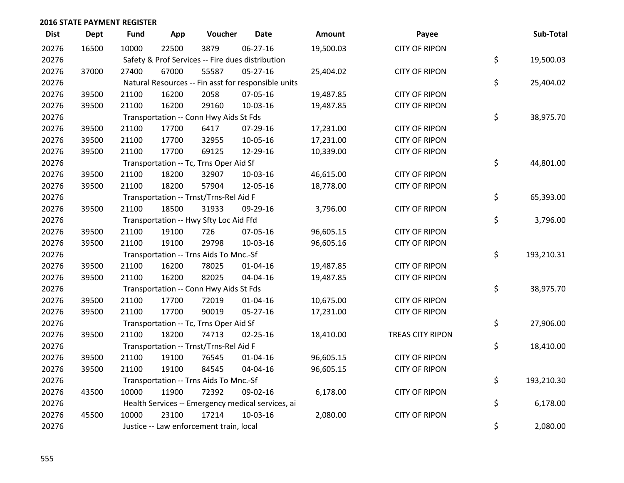| <b>Dist</b> | <b>Dept</b> | <b>Fund</b> | App   | Voucher                                 | <b>Date</b>                                         | Amount    | Payee                | Sub-Total        |
|-------------|-------------|-------------|-------|-----------------------------------------|-----------------------------------------------------|-----------|----------------------|------------------|
| 20276       | 16500       | 10000       | 22500 | 3879                                    | 06-27-16                                            | 19,500.03 | <b>CITY OF RIPON</b> |                  |
| 20276       |             |             |       |                                         | Safety & Prof Services -- Fire dues distribution    |           |                      | \$<br>19,500.03  |
| 20276       | 37000       | 27400       | 67000 | 55587                                   | $05 - 27 - 16$                                      | 25,404.02 | <b>CITY OF RIPON</b> |                  |
| 20276       |             |             |       |                                         | Natural Resources -- Fin asst for responsible units |           |                      | \$<br>25,404.02  |
| 20276       | 39500       | 21100       | 16200 | 2058                                    | 07-05-16                                            | 19,487.85 | <b>CITY OF RIPON</b> |                  |
| 20276       | 39500       | 21100       | 16200 | 29160                                   | 10-03-16                                            | 19,487.85 | <b>CITY OF RIPON</b> |                  |
| 20276       |             |             |       | Transportation -- Conn Hwy Aids St Fds  |                                                     |           |                      | \$<br>38,975.70  |
| 20276       | 39500       | 21100       | 17700 | 6417                                    | 07-29-16                                            | 17,231.00 | <b>CITY OF RIPON</b> |                  |
| 20276       | 39500       | 21100       | 17700 | 32955                                   | 10-05-16                                            | 17,231.00 | <b>CITY OF RIPON</b> |                  |
| 20276       | 39500       | 21100       | 17700 | 69125                                   | 12-29-16                                            | 10,339.00 | <b>CITY OF RIPON</b> |                  |
| 20276       |             |             |       | Transportation -- Tc, Trns Oper Aid Sf  |                                                     |           |                      | \$<br>44,801.00  |
| 20276       | 39500       | 21100       | 18200 | 32907                                   | 10-03-16                                            | 46,615.00 | <b>CITY OF RIPON</b> |                  |
| 20276       | 39500       | 21100       | 18200 | 57904                                   | 12-05-16                                            | 18,778.00 | <b>CITY OF RIPON</b> |                  |
| 20276       |             |             |       | Transportation -- Trnst/Trns-Rel Aid F  |                                                     |           |                      | \$<br>65,393.00  |
| 20276       | 39500       | 21100       | 18500 | 31933                                   | 09-29-16                                            | 3,796.00  | <b>CITY OF RIPON</b> |                  |
| 20276       |             |             |       | Transportation -- Hwy Sfty Loc Aid Ffd  |                                                     |           |                      | \$<br>3,796.00   |
| 20276       | 39500       | 21100       | 19100 | 726                                     | 07-05-16                                            | 96,605.15 | <b>CITY OF RIPON</b> |                  |
| 20276       | 39500       | 21100       | 19100 | 29798                                   | 10-03-16                                            | 96,605.16 | <b>CITY OF RIPON</b> |                  |
| 20276       |             |             |       | Transportation -- Trns Aids To Mnc.-Sf  |                                                     |           |                      | \$<br>193,210.31 |
| 20276       | 39500       | 21100       | 16200 | 78025                                   | $01 - 04 - 16$                                      | 19,487.85 | <b>CITY OF RIPON</b> |                  |
| 20276       | 39500       | 21100       | 16200 | 82025                                   | 04-04-16                                            | 19,487.85 | <b>CITY OF RIPON</b> |                  |
| 20276       |             |             |       | Transportation -- Conn Hwy Aids St Fds  |                                                     |           |                      | \$<br>38,975.70  |
| 20276       | 39500       | 21100       | 17700 | 72019                                   | $01 - 04 - 16$                                      | 10,675.00 | <b>CITY OF RIPON</b> |                  |
| 20276       | 39500       | 21100       | 17700 | 90019                                   | 05-27-16                                            | 17,231.00 | <b>CITY OF RIPON</b> |                  |
| 20276       |             |             |       | Transportation -- Tc, Trns Oper Aid Sf  |                                                     |           |                      | \$<br>27,906.00  |
| 20276       | 39500       | 21100       | 18200 | 74713                                   | $02 - 25 - 16$                                      | 18,410.00 | TREAS CITY RIPON     |                  |
| 20276       |             |             |       | Transportation -- Trnst/Trns-Rel Aid F  |                                                     |           |                      | \$<br>18,410.00  |
| 20276       | 39500       | 21100       | 19100 | 76545                                   | $01 - 04 - 16$                                      | 96,605.15 | <b>CITY OF RIPON</b> |                  |
| 20276       | 39500       | 21100       | 19100 | 84545                                   | 04-04-16                                            | 96,605.15 | <b>CITY OF RIPON</b> |                  |
| 20276       |             |             |       | Transportation -- Trns Aids To Mnc.-Sf  |                                                     |           |                      | \$<br>193,210.30 |
| 20276       | 43500       | 10000       | 11900 | 72392                                   | 09-02-16                                            | 6,178.00  | <b>CITY OF RIPON</b> |                  |
| 20276       |             |             |       |                                         | Health Services -- Emergency medical services, ai   |           |                      | \$<br>6,178.00   |
| 20276       | 45500       | 10000       | 23100 | 17214                                   | 10-03-16                                            | 2,080.00  | <b>CITY OF RIPON</b> |                  |
| 20276       |             |             |       | Justice -- Law enforcement train, local |                                                     |           |                      | \$<br>2,080.00   |